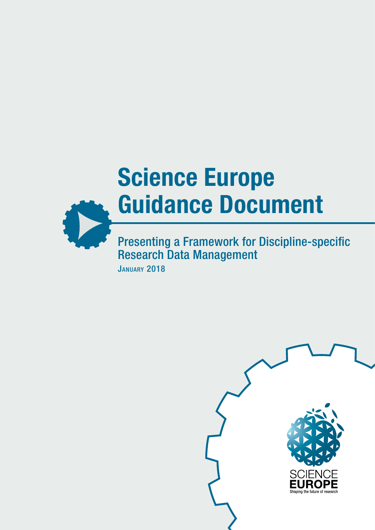# Science Europe Guidance Document



Presenting a Framework for Discipline-specific Research Data Management JANUARY 2018

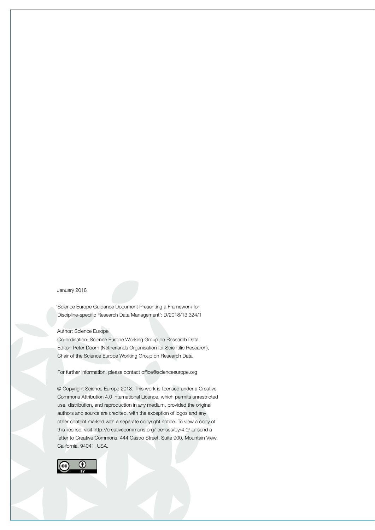#### January 2018

'Science Europe Guidance Document Presenting a Framework for Discipline-specific Research Data Management': D/2018/13.324/1

#### Author: Science Europe

Co-ordination: Science Europe Working Group on Research Data Editor: Peter Doorn (Netherlands Organisation for Scientific Research), Chair of the Science Europe Working Group on Research Data

For further information, please contact office@scienceeurope.org

© Copyright Science Europe 2018. This work is licensed under a Creative Commons Attribution 4.0 International Licence, which permits unrestricted use, distribution, and reproduction in any medium, provided the original authors and source are credited, with the exception of logos and any other content marked with a separate copyright notice. To view a copy of this license, visit http://creativecommons.org/licenses/by/4.0/ or send a letter to Creative Commons, 444 Castro Street, Suite 900, Mountain View, California, 94041, USA.

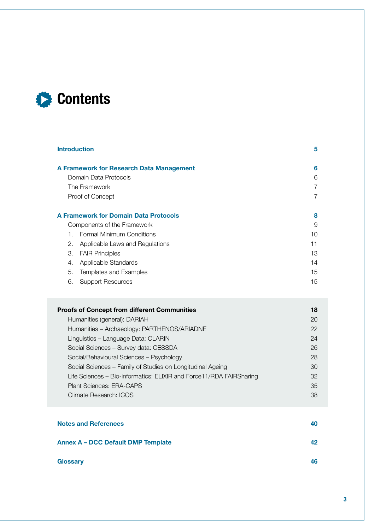

| <b>Introduction</b>                          | 5              |
|----------------------------------------------|----------------|
| A Framework for Research Data Management     | 6              |
| Domain Data Protocols                        | 6              |
| The Framework                                | $\overline{7}$ |
| Proof of Concept                             | $\overline{7}$ |
|                                              |                |
| <b>A Framework for Domain Data Protocols</b> | 8              |
| Components of the Framework                  | 9              |
| Formal Minimum Conditions<br>$1_{-}$         | 10             |
| 2.<br>Applicable Laws and Regulations        | 11             |
| 3.<br><b>FAIR Principles</b>                 | 13             |
| Applicable Standards<br>4.                   | 14             |
| Templates and Examples<br>5.                 | 15             |
| 6.<br>Support Resources                      | 15             |
|                                              |                |

| <b>Proofs of Concept from different Communities</b>                 | 18 |
|---------------------------------------------------------------------|----|
| Humanities (general): DARIAH                                        | 20 |
| Humanities - Archaeology: PARTHENOS/ARIADNE                         | 22 |
| Linguistics - Language Data: CLARIN                                 | 24 |
| Social Sciences - Survey data: CESSDA                               | 26 |
| Social/Behavioural Sciences - Psychology                            | 28 |
| Social Sciences - Family of Studies on Longitudinal Ageing          | 30 |
| Life Sciences - Bio-informatics: ELIXIR and Force11/RDA FAIRSharing | 32 |
| <b>Plant Sciences: ERA-CAPS</b>                                     | 35 |
| Climate Research: ICOS                                              | 38 |

| <b>Notes and References</b>               | 40 |
|-------------------------------------------|----|
| <b>Annex A – DCC Default DMP Template</b> | 42 |
| <b>Glossary</b>                           | 46 |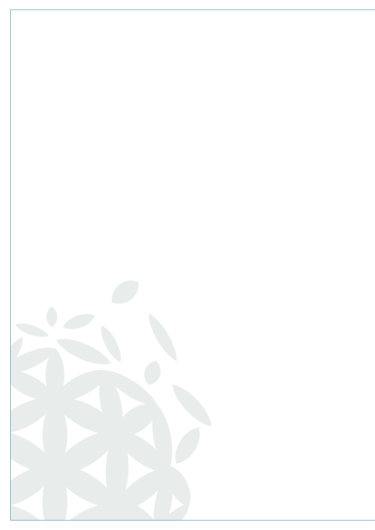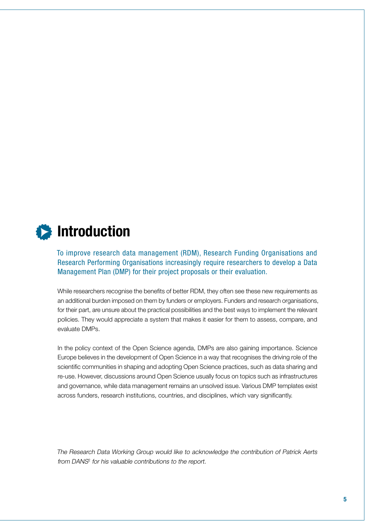<span id="page-4-0"></span>

To improve research data management (RDM), Research Funding Organisations and Research Performing Organisations increasingly require researchers to develop a Data Management Plan (DMP) for their project proposals or their evaluation.

While researchers recognise the benefits of better RDM, they often see these new requirements as an additional burden imposed on them by funders or employers. Funders and research organisations, for their part, are unsure about the practical possibilities and the best ways to implement the relevant policies. They would appreciate a system that makes it easier for them to assess, compare, and evaluate DMPs.

In the policy context of the Open Science agenda, DMPs are also gaining importance. Science Europe believes in the development of Open Science in a way that recognises the driving role of the scientific communities in shaping and adopting Open Science practices, such as data sharing and re-use. However, discussions around Open Science usually focus on topics such as infrastructures and governance, while data management remains an unsolved issue. Various DMP templates exist across funders, research institutions, countries, and disciplines, which vary significantly.

The Research Data Working Group would like to acknowledge the contribution of Patrick Aerts from DANS<sup>[2](#page-39-1)</sup> for his valuable contributions to the report.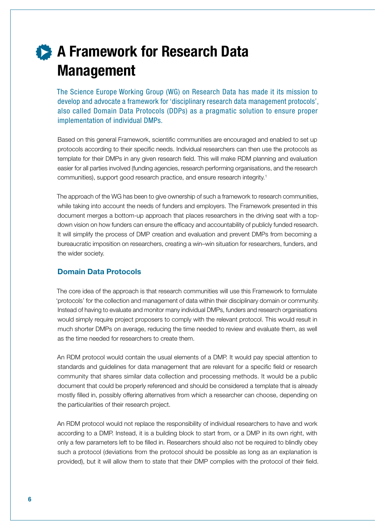# <span id="page-5-0"></span>**A** Framework for Research Data Management

The Science Europe Working Group (WG) on Research Data has made it its mission to develop and advocate a framework for 'disciplinary research data management protocols', also called Domain Data Protocols (DDPs) as a pragmatic solution to ensure proper implementation of individual DMPs.

Based on this general Framework, scientific communities are encouraged and enabled to set up protocols according to their specific needs. Individual researchers can then use the protocols as template for their DMPs in any given research field. This will make RDM planning and evaluation easier for all parties involved (funding agencies, research performing organisations, and the research communities), support good research practice, and ensure research integrity.<sup>[1](#page-39-2)</sup>

The approach of the WG has been to give ownership of such a framework to research communities, while taking into account the needs of funders and employers. The Framework presented in this document merges a bottom-up approach that places researchers in the driving seat with a topdown vision on how funders can ensure the efficacy and accountability of publicly funded research. It will simplify the process of DMP creation and evaluation and prevent DMPs from becoming a bureaucratic imposition on researchers, creating a win–win situation for researchers, funders, and the wider society.

#### Domain Data Protocols

The core idea of the approach is that research communities will use this Framework to formulate 'protocols' for the collection and management of data within their disciplinary domain or community. Instead of having to evaluate and monitor many individual DMPs, funders and research organisations would simply require project proposers to comply with the relevant protocol. This would result in much shorter DMPs on average, reducing the time needed to review and evaluate them, as well as the time needed for researchers to create them.

An RDM protocol would contain the usual elements of a DMP. It would pay special attention to standards and guidelines for data management that are relevant for a specific field or research community that shares similar data collection and processing methods. It would be a public document that could be properly referenced and should be considered a template that is already mostly filled in, possibly offering alternatives from which a researcher can choose, depending on the particularities of their research project.

An RDM protocol would not replace the responsibility of individual researchers to have and work according to a DMP. Instead, it is a building block to start from, or a DMP in its own right, with only a few parameters left to be filled in. Researchers should also not be required to blindly obey such a protocol (deviations from the protocol should be possible as long as an explanation is provided), but it will allow them to state that their DMP complies with the protocol of their field.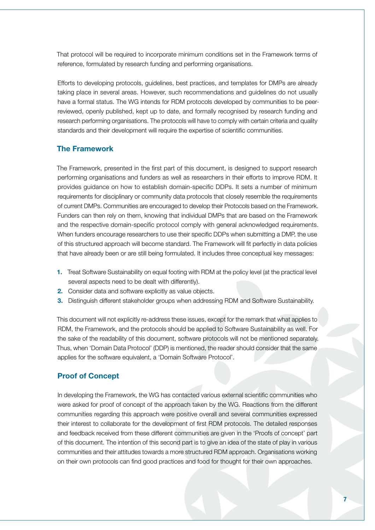<span id="page-6-0"></span>That protocol will be required to incorporate minimum conditions set in the Framework terms of reference, formulated by research funding and performing organisations.

Efforts to developing protocols, guidelines, best practices, and templates for DMPs are already taking place in several areas. However, such recommendations and guidelines do not usually have a formal status. The WG intends for RDM protocols developed by communities to be peerreviewed, openly published, kept up to date, and formally recognised by research funding and research performing organisations. The protocols will have to comply with certain criteria and quality standards and their development will require the expertise of scientific communities.

#### The Framework

The Framework, presented in the first part of this document, is designed to support research performing organisations and funders as well as researchers in their efforts to improve RDM. It provides guidance on how to establish domain-specific DDPs. It sets a number of minimum requirements for disciplinary or community data protocols that closely resemble the requirements of current DMPs. Communities are encouraged to develop their Protocols based on the Framework. Funders can then rely on them, knowing that individual DMPs that are based on the Framework and the respective domain-specific protocol comply with general acknowledged requirements. When funders encourage researchers to use their specific DDPs when submitting a DMP, the use of this structured approach will become standard. The Framework will fit perfectly in data policies that have already been or are still being formulated. It includes three conceptual key messages:

- 1. Treat Software Sustainability on equal footing with RDM at the policy level (at the practical level several aspects need to be dealt with differently).
- **2.** Consider data and software explicitly as value objects.
- 3. Distinguish different stakeholder groups when addressing RDM and Software Sustainability.

This document will not explicitly re-address these issues, except for the remark that what applies to RDM, the Framework, and the protocols should be applied to Software Sustainability as well. For the sake of the readability of this document, software protocols will not be mentioned separately. Thus, when 'Domain Data Protocol' (DDP) is mentioned, the reader should consider that the same applies for the software equivalent, a 'Domain Software Protocol'.

#### Proof of Concept

In developing the Framework, the WG has contacted various external scientific communities who were asked for proof of concept of the approach taken by the WG. Reactions from the different communities regarding this approach were positive overall and several communities expressed their interest to collaborate for the development of first RDM protocols. The detailed responses and feedback received from these different communities are given in the 'Proofs of concept' part of this document. The intention of this second part is to give an idea of the state of play in various communities and their attitudes towards a more structured RDM approach. Organisations working on their own protocols can find good practices and food for thought for their own approaches.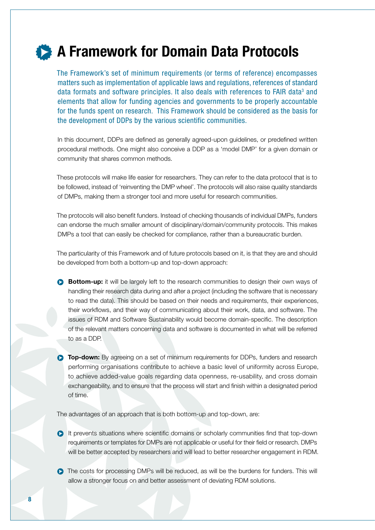<span id="page-7-0"></span>

### A Framework for Domain Data Protocols

The Framework's set of minimum requirements (or terms of reference) encompasses matters such as implementation of applicable laws and regulations, references of standard data formats and software principles. It also deals with references to FAIR data<sup>[3](#page-39-3)</sup> and elements that allow for funding agencies and governments to be properly accountable for the funds spent on research. This Framework should be considered as the basis for the development of DDPs by the various scientific communities.

In this document, DDPs are defined as generally agreed-upon guidelines, or predefined written procedural methods. One might also conceive a DDP as a 'model DMP' for a given domain or community that shares common methods.

These protocols will make life easier for researchers. They can refer to the data protocol that is to be followed, instead of 'reinventing the DMP wheel'. The protocols will also raise quality standards of DMPs, making them a stronger tool and more useful for research communities.

The protocols will also benefit funders. Instead of checking thousands of individual DMPs, funders can endorse the much smaller amount of disciplinary/domain/community protocols. This makes DMPs a tool that can easily be checked for compliance, rather than a bureaucratic burden.

The particularity of this Framework and of future protocols based on it, is that they are and should be developed from both a bottom-up and top-down approach:

- **Bottom-up:** it will be largely left to the research communities to design their own ways of handling their research data during and after a project (including the software that is necessary to read the data). This should be based on their needs and requirements, their experiences, their workflows, and their way of communicating about their work, data, and software. The issues of RDM and Software Sustainability would become domain-specific. The description of the relevant matters concerning data and software is documented in what will be referred to as a DDP.
- **C** Top-down: By agreeing on a set of minimum requirements for DDPs, funders and research performing organisations contribute to achieve a basic level of uniformity across Europe, to achieve added-value goals regarding data openness, re-usability, and cross domain exchangeability, and to ensure that the process will start and finish within a designated period of time.

The advantages of an approach that is both bottom-up and top-down, are:

- It prevents situations where scientific domains or scholarly communities find that top-down requirements or templates for DMPs are not applicable or useful for their field or research. DMPs will be better accepted by researchers and will lead to better researcher engagement in RDM.
- The costs for processing DMPs will be reduced, as will be the burdens for funders. This will allow a stronger focus on and better assessment of deviating RDM solutions.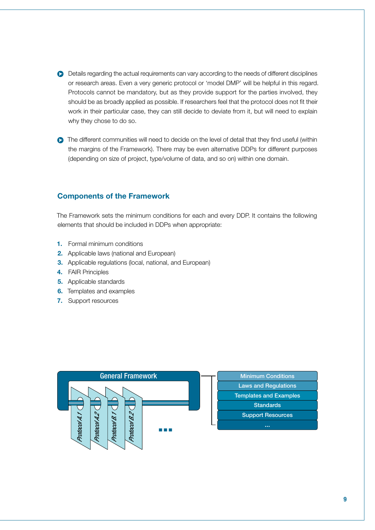- <span id="page-8-0"></span>Details regarding the actual requirements can vary according to the needs of different disciplines or research areas. Even a very generic protocol or 'model DMP' will be helpful in this regard. Protocols cannot be mandatory, but as they provide support for the parties involved, they should be as broadly applied as possible. If researchers feel that the protocol does not fit their work in their particular case, they can still decide to deviate from it, but will need to explain why they chose to do so.
- The different communities will need to decide on the level of detail that they find useful (within the margins of the Framework). There may be even alternative DDPs for different purposes (depending on size of project, type/volume of data, and so on) within one domain.

#### Components of the Framework

The Framework sets the minimum conditions for each and every DDP. It contains the following elements that should be included in DDPs when appropriate:

- 1. Formal minimum conditions
- 2. Applicable laws (national and European)
- 3. Applicable regulations (local, national, and European)
- 4. FAIR Principles
- 5. Applicable standards
- 6. Templates and examples
- 7. Support resources

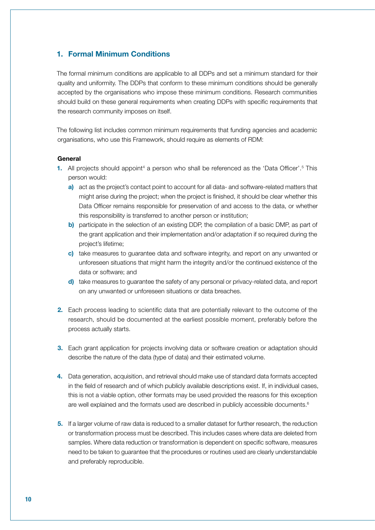#### <span id="page-9-0"></span>1. Formal Minimum Conditions

The formal minimum conditions are applicable to all DDPs and set a minimum standard for their quality and uniformity. The DDPs that conform to these minimum conditions should be generally accepted by the organisations who impose these minimum conditions. Research communities should build on these general requirements when creating DDPs with specific requirements that the research community imposes on itself.

The following list includes common minimum requirements that funding agencies and academic organisations, who use this Framework, should require as elements of RDM:

#### General

- **1.** All projects should appoint<sup>[4](#page-39-4)</sup> a person who shall be referenced as the 'Data Officer'.<sup>[5](#page-39-5)</sup> This person would:
	- a) act as the project's contact point to account for all data- and software-related matters that might arise during the project; when the project is finished, it should be clear whether this Data Officer remains responsible for preservation of and access to the data, or whether this responsibility is transferred to another person or institution;
	- b) participate in the selection of an existing DDP, the compilation of a basic DMP, as part of the grant application and their implementation and/or adaptation if so required during the project's lifetime;
	- c) take measures to guarantee data and software integrity, and report on any unwanted or unforeseen situations that might harm the integrity and/or the continued existence of the data or software; and
	- d) take measures to guarantee the safety of any personal or privacy-related data, and report on any unwanted or unforeseen situations or data breaches.
- 2. Each process leading to scientific data that are potentially relevant to the outcome of the research, should be documented at the earliest possible moment, preferably before the process actually starts.
- **3.** Each grant application for projects involving data or software creation or adaptation should describe the nature of the data (type of data) and their estimated volume.
- 4. Data generation, acquisition, and retrieval should make use of standard data formats accepted in the field of research and of which publicly available descriptions exist. If, in individual cases, this is not a viable option, other formats may be used provided the reasons for this exception are well explained and the formats used are described in publicly accessible documents.<sup>[6](#page-39-6)</sup>
- 5. If a larger volume of raw data is reduced to a smaller dataset for further research, the reduction or transformation process must be described. This includes cases where data are deleted from samples. Where data reduction or transformation is dependent on specific software, measures need to be taken to guarantee that the procedures or routines used are clearly understandable and preferably reproducible.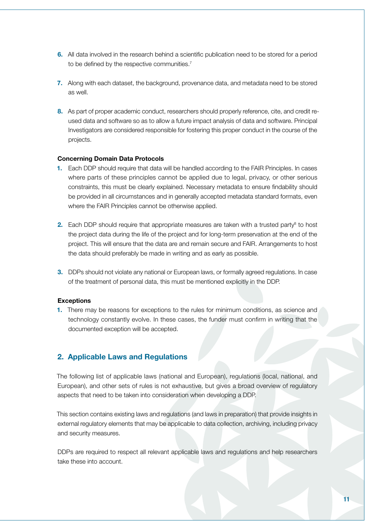- <span id="page-10-0"></span>6. All data involved in the research behind a scientific publication need to be stored for a period to be defined by the respective communities.<sup>7</sup>
- 7. Along with each dataset, the background, provenance data, and metadata need to be stored as well.
- 8. As part of proper academic conduct, researchers should properly reference, cite, and credit reused data and software so as to allow a future impact analysis of data and software. Principal Investigators are considered responsible for fostering this proper conduct in the course of the projects.

#### Concerning Domain Data Protocols

- 1. Each DDP should require that data will be handled according to the FAIR Principles. In cases where parts of these principles cannot be applied due to legal, privacy, or other serious constraints, this must be clearly explained. Necessary metadata to ensure findability should be provided in all circumstances and in generally accepted metadata standard formats, even where the FAIR Principles cannot be otherwise applied.
- **2.** Each DDP should require that appropriate measures are taken with a trusted party<sup>8</sup> to host the project data during the life of the project and for long-term preservation at the end of the project. This will ensure that the data are and remain secure and FAIR. Arrangements to host the data should preferably be made in writing and as early as possible.
- 3. DDPs should not violate any national or European laws, or formally agreed regulations. In case of the treatment of personal data, this must be mentioned explicitly in the DDP.

#### Exceptions

1. There may be reasons for exceptions to the rules for minimum conditions, as science and technology constantly evolve. In these cases, the funder must confirm in writing that the documented exception will be accepted.

#### 2. Applicable Laws and Regulations

The following list of applicable laws (national and European), regulations (local, national, and European), and other sets of rules is not exhaustive, but gives a broad overview of regulatory aspects that need to be taken into consideration when developing a DDP.

This section contains existing laws and regulations (and laws in preparation) that provide insights in external regulatory elements that may be applicable to data collection, archiving, including privacy and security measures.

DDPs are required to respect all relevant applicable laws and regulations and help researchers take these into account.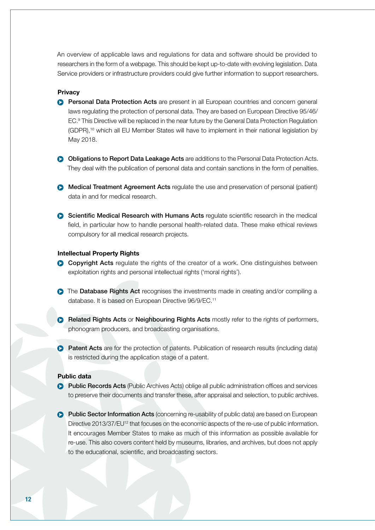An overview of applicable laws and regulations for data and software should be provided to researchers in the form of a webpage. This should be kept up-to-date with evolving legislation. Data Service providers or infrastructure providers could give further information to support researchers.

#### **Privacy**

- **Personal Data Protection Acts** are present in all European countries and concern general laws regulating the protection of personal data. They are based on European Directive 95/46/ EC.<sup>9</sup> This Directive will be replaced in the near future by the General Data Protection Regulation  $(GDPR)$ ,<sup>10</sup> which all EU Member States will have to implement in their national legislation by May 2018.
- Obligations to Report Data Leakage Acts are additions to the Personal Data Protection Acts. They deal with the publication of personal data and contain sanctions in the form of penalties.
- **Medical Treatment Agreement Acts** regulate the use and preservation of personal (patient) data in and for medical research.
- Scientific Medical Research with Humans Acts regulate scientific research in the medical field, in particular how to handle personal health-related data. These make ethical reviews compulsory for all medical research projects.

#### Intellectual Property Rights

- **Copyright Acts** regulate the rights of the creator of a work. One distinguishes between exploitation rights and personal intellectual rights ('moral rights').
- The Database Rights Act recognises the investments made in creating and/or compiling a database. It is based on European Directive 96/9/EC[.11](#page-39-11)
- **C** Related Rights Acts or Neighbouring Rights Acts mostly refer to the rights of performers, phonogram producers, and broadcasting organisations.
- **Patent Acts** are for the protection of patents. Publication of research results (including data) is restricted during the application stage of a patent.

#### Public data

- Public Records Acts (Public Archives Acts) oblige all public administration offices and services to preserve their documents and transfer these, after appraisal and selection, to public archives.
- **Public Sector Information Acts** (concerning re-usability of public data) are based on European Directive 2013/37/EU<sup>12</sup> that focuses on the economic aspects of the re-use of public information. It encourages Member States to make as much of this information as possible available for re-use. This also covers content held by museums, libraries, and archives, but does not apply to the educational, scientific, and broadcasting sectors.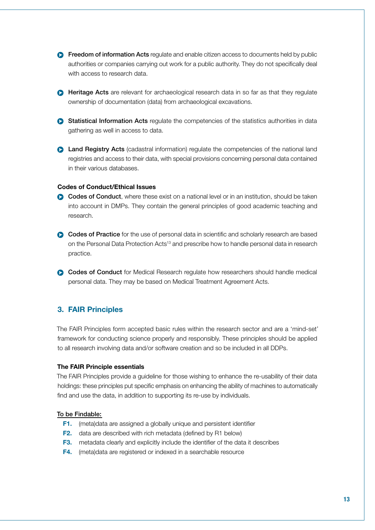- <span id="page-12-0"></span>**C** Freedom of information Acts requlate and enable citizen access to documents held by public authorities or companies carrying out work for a public authority. They do not specifically deal with access to research data.
- Heritage Acts are relevant for archaeological research data in so far as that they regulate ownership of documentation (data) from archaeological excavations.
- Statistical Information Acts regulate the competencies of the statistics authorities in data gathering as well in access to data.
- Land Registry Acts (cadastral information) regulate the competencies of the national land registries and access to their data, with special provisions concerning personal data contained in their various databases.

#### Codes of Conduct/Ethical Issues

- Codes of Conduct, where these exist on a national level or in an institution, should be taken into account in DMPs. They contain the general principles of good academic teaching and research.
- Codes of Practice for the use of personal data in scientific and scholarly research are based on the Personal Data Protection Acts<sup>[13](#page-39-13)</sup> and prescribe how to handle personal data in research practice.
- Codes of Conduct for Medical Research regulate how researchers should handle medical personal data. They may be based on Medical Treatment Agreement Acts.

#### 3. FAIR Principles

The FAIR Principles form accepted basic rules within the research sector and are a 'mind-set' framework for conducting science properly and responsibly. These principles should be applied to all research involving data and/or software creation and so be included in all DDPs.

#### The FAIR Principle essentials

The FAIR Principles provide a guideline for those wishing to enhance the re-usability of their data holdings: these principles put specific emphasis on enhancing the ability of machines to automatically find and use the data, in addition to supporting its re-use by individuals.

#### To be Findable:

- F1. (meta)data are assigned a globally unique and persistent identifier
- F2. data are described with rich metadata (defined by R1 below)
- F3. metadata clearly and explicitly include the identifier of the data it describes
- F4. (meta)data are registered or indexed in a searchable resource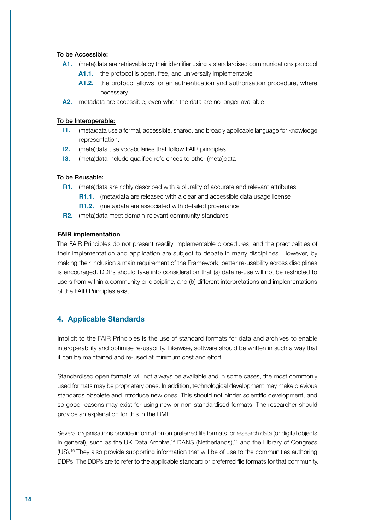#### <span id="page-13-0"></span>To be Accessible:

- A1. (meta)data are retrievable by their identifier using a standardised communications protocol
	- A1.1. the protocol is open, free, and universally implementable
	- A1.2. the protocol allows for an authentication and authorisation procedure, where necessary
- A2. metadata are accessible, even when the data are no longer available

#### To be Interoperable:

- I1. (meta)data use a formal, accessible, shared, and broadly applicable language for knowledge representation.
- I2. (meta)data use vocabularies that follow FAIR principles
- I3. (meta)data include qualified references to other (meta)data

#### To be Reusable:

- **R1.** (meta)data are richly described with a plurality of accurate and relevant attributes
	- **R1.1.** (meta)data are released with a clear and accessible data usage license
		- R1.2. (meta)data are associated with detailed provenance
- R2. (meta)data meet domain-relevant community standards

#### FAIR implementation

The FAIR Principles do not present readily implementable procedures, and the practicalities of their implementation and application are subject to debate in many disciplines. However, by making their inclusion a main requirement of the Framework, better re-usability across disciplines is encouraged. DDPs should take into consideration that (a) data re-use will not be restricted to users from within a community or discipline; and (b) different interpretations and implementations of the FAIR Principles exist.

#### 4. Applicable Standards

Implicit to the FAIR Principles is the use of standard formats for data and archives to enable interoperability and optimise re-usability. Likewise, software should be written in such a way that it can be maintained and re-used at minimum cost and effort.

Standardised open formats will not always be available and in some cases, the most commonly used formats may be proprietary ones. In addition, technological development may make previous standards obsolete and introduce new ones. This should not hinder scientific development, and so good reasons may exist for using new or non-standardised formats. The researcher should provide an explanation for this in the DMP.

Several organisations provide information on preferred file formats for research data (or digital objects in general), such as the UK Data Archive,<sup>[14](#page-39-14)</sup> DANS (Netherlands),<sup>[15](#page-39-15)</sup> and the Library of Congress (US).[16](#page-39-16) They also provide supporting information that will be of use to the communities authoring DDPs. The DDPs are to refer to the applicable standard or preferred file formats for that community.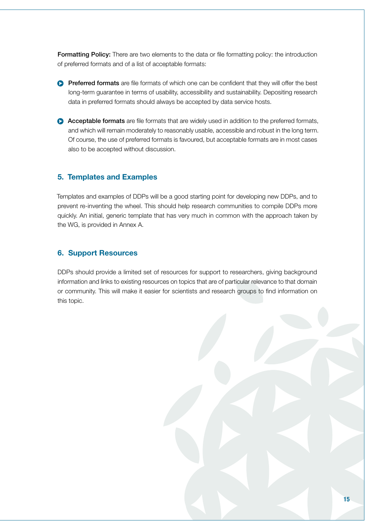<span id="page-14-0"></span>**Formatting Policy:** There are two elements to the data or file formatting policy: the introduction of preferred formats and of a list of acceptable formats:

- **Preferred formats** are file formats of which one can be confident that they will offer the best long-term guarantee in terms of usability, accessibility and sustainability. Depositing research data in preferred formats should always be accepted by data service hosts.
- Acceptable formats are file formats that are widely used in addition to the preferred formats, and which will remain moderately to reasonably usable, accessible and robust in the long term. Of course, the use of preferred formats is favoured, but acceptable formats are in most cases also to be accepted without discussion.

#### 5. Templates and Examples

Templates and examples of DDPs will be a good starting point for developing new DDPs, and to prevent re-inventing the wheel. This should help research communities to compile DDPs more quickly. An initial, generic template that has very much in common with the approach taken by the WG, is provided in Annex A.

#### 6. Support Resources

DDPs should provide a limited set of resources for support to researchers, giving background information and links to existing resources on topics that are of particular relevance to that domain or community. This will make it easier for scientists and research groups to find information on this topic.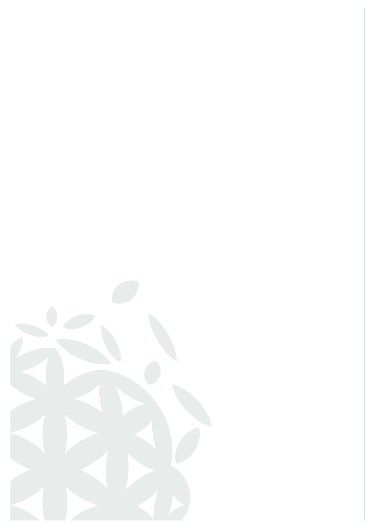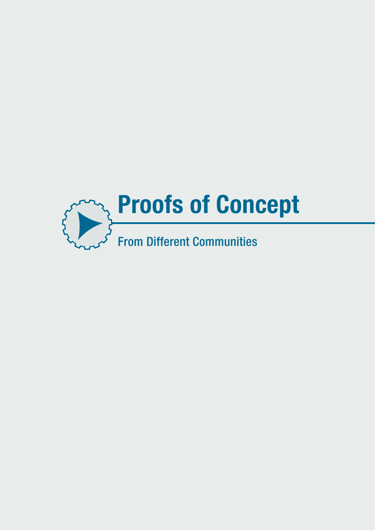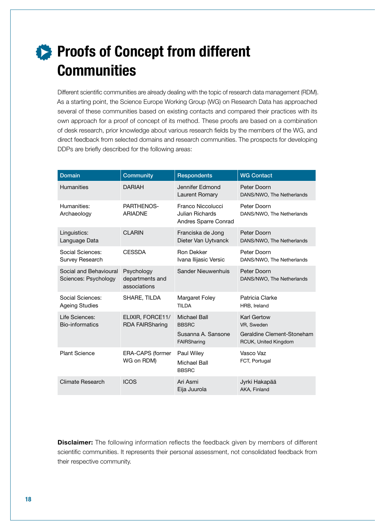

# <span id="page-17-0"></span>**Proofs of Concept from different Communities**

Different scientific communities are already dealing with the topic of research data management (RDM). As a starting point, the Science Europe Working Group (WG) on Research Data has approached several of these communities based on existing contacts and compared their practices with its own approach for a proof of concept of its method. These proofs are based on a combination of desk research, prior knowledge about various research fields by the members of the WG, and direct feedback from selected domains and research communities. The prospects for developing DDPs are briefly described for the following areas:

| <b>Domain</b>                                  | <b>Community</b>                              | <b>Respondents</b>                                                | <b>WG Contact</b>                                                                      |
|------------------------------------------------|-----------------------------------------------|-------------------------------------------------------------------|----------------------------------------------------------------------------------------|
| <b>Humanities</b>                              | <b>DARIAH</b>                                 | Jennifer Edmond<br>Laurent Romary                                 | Peter Doorn<br>DANS/NWO, The Netherlands                                               |
| Humanities:<br>Archaeology                     | PARTHENOS-<br><b>ARIADNE</b>                  | Franco Niccolucci<br>Julian Richards<br>Andres Sparre Conrad      | Peter Doorn<br>DANS/NWO, The Netherlands                                               |
| Linguistics:<br>Language Data                  | <b>CLARIN</b>                                 | Franciska de Jong<br>Dieter Van Uytvanck                          | Peter Doorn<br>DANS/NWO, The Netherlands                                               |
| Social Sciences:<br>Survey Research            | <b>CESSDA</b>                                 | <b>Ron Dekker</b><br>Ivana Ilijasic Versic                        | Peter Doorn<br>DANS/NWO, The Netherlands                                               |
| Social and Behavioural<br>Sciences: Psychology | Psychology<br>departments and<br>associations | <b>Sander Nieuwenhuis</b>                                         | Peter Doorn<br>DANS/NWO, The Netherlands                                               |
| Social Sciences:<br><b>Ageing Studies</b>      | SHARE, TILDA                                  | Margaret Foley<br><b>TILDA</b>                                    | Patricia Clarke<br>HRB, Ireland                                                        |
| Life Sciences:<br><b>Bio-informatics</b>       | ELIXIR, FORCE11/<br><b>RDA FAIRSharing</b>    | Michael Ball<br><b>BBSRC</b><br>Susanna A. Sansone<br>FAIRSharing | <b>Karl Gertow</b><br>VR, Sweden<br>Geraldine Clement-Stoneham<br>RCUK, United Kingdom |
| <b>Plant Science</b>                           | ERA-CAPS (former<br>WG on RDM)                | Paul Wiley<br>Michael Ball<br><b>BBSRC</b>                        | Vasco Vaz<br>FCT, Portugal                                                             |
| Climate Research                               | <b>ICOS</b>                                   | Ari Asmi<br>Eija Juurola                                          | Jyrki Hakapää<br>AKA, Finland                                                          |

**Disclaimer:** The following information reflects the feedback given by members of different scientific communities. It represents their personal assessment, not consolidated feedback from their respective community.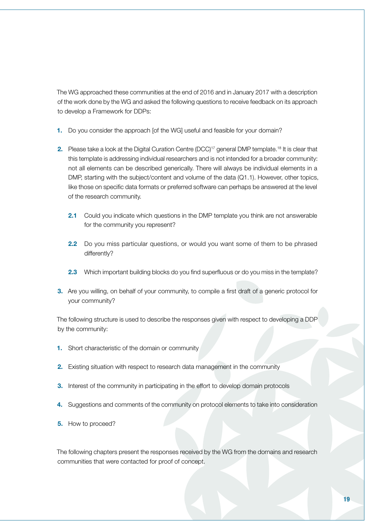The WG approached these communities at the end of 2016 and in January 2017 with a description of the work done by the WG and asked the following questions to receive feedback on its approach to develop a Framework for DDPs:

- 1. Do you consider the approach [of the WG] useful and feasible for your domain?
- 2. Please take a look at the Digital Curation Centre (DCC)<sup>17</sup> general DMP template.<sup>18</sup> It is clear that this template is addressing individual researchers and is not intended for a broader community: not all elements can be described generically. There will always be individual elements in a DMP, starting with the subject/content and volume of the data (Q1.1). However, other topics, like those on specific data formats or preferred software can perhaps be answered at the level of the research community.
	- **2.1** Could you indicate which questions in the DMP template you think are not answerable for the community you represent?
	- 2.2 Do you miss particular questions, or would you want some of them to be phrased differently?
	- 2.3 Which important building blocks do you find superfluous or do you miss in the template?
- **3.** Are you willing, on behalf of your community, to compile a first draft of a generic protocol for your community?

The following structure is used to describe the responses given with respect to developing a DDP by the community:

- **1.** Short characteristic of the domain or community
- **2.** Existing situation with respect to research data management in the community
- **3.** Interest of the community in participating in the effort to develop domain protocols
- 4. Suggestions and comments of the community on protocol elements to take into consideration
- 5. How to proceed?

The following chapters present the responses received by the WG from the domains and research communities that were contacted for proof of concept.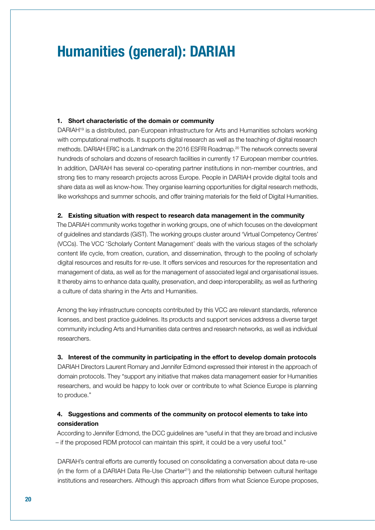### <span id="page-19-0"></span>Humanities (general): DARIAH

#### 1. Short characteristic of the domain or community

DARIAH<sup>[19](#page-39-19)</sup> is a distributed, pan-European infrastructure for Arts and Humanities scholars working with computational methods. It supports digital research as well as the teaching of digital research methods. DARIAH ERIC is a Landmark on the 2016 ESFRI Roadmap.<sup>20</sup> The network connects several hundreds of scholars and dozens of research facilities in currently 17 European member countries. In addition, DARIAH has several co-operating partner institutions in non-member countries, and strong ties to many research projects across Europe. People in DARIAH provide digital tools and share data as well as know-how. They organise learning opportunities for digital research methods, like workshops and summer schools, and offer training materials for the field of Digital Humanities.

#### 2. Existing situation with respect to research data management in the community

The DARIAH community works together in working groups, one of which focuses on the development of guidelines and standards (GiST). The working groups cluster around 'Virtual Competency Centres' (VCCs). The VCC 'Scholarly Content Management' deals with the various stages of the scholarly content life cycle, from creation, curation, and dissemination, through to the pooling of scholarly digital resources and results for re-use. It offers services and resources for the representation and management of data, as well as for the management of associated legal and organisational issues. It thereby aims to enhance data quality, preservation, and deep interoperability, as well as furthering a culture of data sharing in the Arts and Humanities.

Among the key infrastructure concepts contributed by this VCC are relevant standards, reference licenses, and best practice guidelines. Its products and support services address a diverse target community including Arts and Humanities data centres and research networks, as well as individual researchers.

#### 3. Interest of the community in participating in the effort to develop domain protocols

DARIAH Directors Laurent Romary and Jennifer Edmond expressed their interest in the approach of domain protocols. They "support any initiative that makes data management easier for Humanities researchers, and would be happy to look over or contribute to what Science Europe is planning to produce."

#### 4. Suggestions and comments of the community on protocol elements to take into consideration

According to Jennifer Edmond, the DCC guidelines are "useful in that they are broad and inclusive – if the proposed RDM protocol can maintain this spirit, it could be a very useful tool."

DARIAH's central efforts are currently focused on consolidating a conversation about data re-use (in the form of a DARIAH Data Re-Use Charter<sup>[21](#page-39-21)</sup>) and the relationship between cultural heritage institutions and researchers. Although this approach differs from what Science Europe proposes,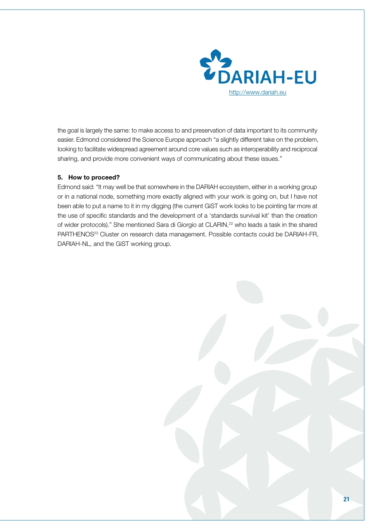

the goal is largely the same: to make access to and preservation of data important to its community easier. Edmond considered the Science Europe approach "a slightly different take on the problem, looking to facilitate widespread agreement around core values such as interoperability and reciprocal sharing, and provide more convenient ways of communicating about these issues."

#### 5. How to proceed?

Edmond said: "It may well be that somewhere in the DARIAH ecosystem, either in a working group or in a national node, something more exactly aligned with your work is going on, but I have not been able to put a name to it in my digging (the current GiST work looks to be pointing far more at the use of specific standards and the development of a 'standards survival kit' than the creation of wider protocols)." She mentioned Sara di Giorgio at CLARIN,<sup>22</sup> who leads a task in the shared PARTHENOS<sup>23</sup> Cluster on research data management. Possible contacts could be DARIAH-FR, DARIAH-NL, and the GiST working group.

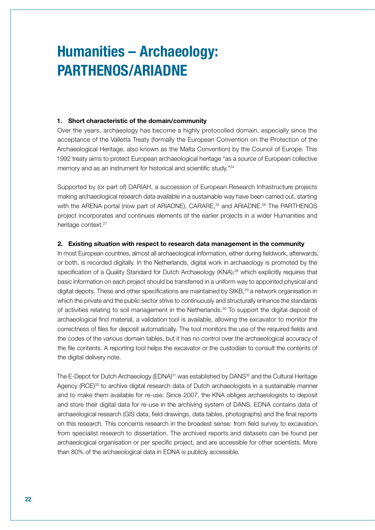### <span id="page-21-0"></span>Humanities – Archaeology: PARTHENOS/ARIADNE

#### 1. Short characteristic of the domain/community

Over the years, archaeology has become a highly protocolled domain, especially since the acceptance of the Valletta Treaty (formally the European Convention on the Protection of the Archaeological Heritage, also known as the Malta Convention) by the Council of Europe. This 1992 treaty aims to protect European archaeological heritage "as a source of European collective memory and as an instrument for historical and scientific study."<sup>24</sup>

Supported by (or part of) DARIAH, a succession of European Research Infrastructure projects making archaeological research data available in a sustainable way have been carried out, starting with the ARENA portal (now part of ARIADNE), CARARE,<sup>25</sup> and ARIADNE.<sup>26</sup> The PARTHENOS project incorporates and continues elements of the earlier projects in a wider Humanities and heritage context.<sup>[27](#page-39-27)</sup>

#### 2. Existing situation with respect to research data management in the community

In most European countries, almost all archaeological information, either during fieldwork, afterwards, or both, is recorded digitally. In the Netherlands, digital work in archaeology is promoted by the specification of a Quality Standard for Dutch Archaeology (KNA),<sup>28</sup> which explicitly requires that basic information on each project should be transferred in a uniform way to appointed physical and digital depots. These and other specifications are maintained by SIKB,<sup>29</sup> a network organisation in which the private and the public sector strive to continuously and structurally enhance the standards of activities relating to soil management in the Netherlands.<sup>30</sup> To support the digital deposit of archaeological find material, a validation tool is available, allowing the excavator to monitor the correctness of files for deposit automatically. The tool monitors the use of the required fields and the codes of the various domain tables, but it has no control over the archaeological accuracy of the file contents. A reporting tool helps the excavator or the custodian to consult the contents of the digital delivery note.

The E-Depot for Dutch Archaeology (EDNA)<sup>31</sup> was established by DANS<sup>32</sup> and the Cultural Heritage Agency (RCE)<sup>[33](#page-40-1)</sup> to archive digital research data of Dutch archaeologists in a sustainable manner and to make them available for re-use. Since 2007, the KNA obliges archaeologists to deposit and store their digital data for re-use in the archiving system of DANS. EDNA contains data of archaeological research (GIS data, field drawings, data tables, photographs) and the final reports on this research. This concerns research in the broadest sense: from field survey to excavation, from specialist research to dissertation. The archived reports and datasets can be found per archaeological organisation or per specific project, and are accessible for other scientists. More than 80% of the archaeological data in EDNA is publicly accessible.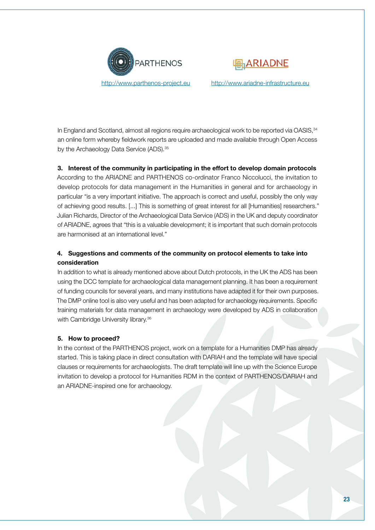



<http://www.parthenos-project.eu> <http://www.ariadne-infrastructure.eu>

In England and Scotland, almost all regions require archaeological work to be reported via OASIS,<sup>[34](#page-40-2)</sup> an online form whereby fieldwork reports are uploaded and made available through Open Access by the Archaeology Data Service (ADS).<sup>35</sup>

#### 3. Interest of the community in participating in the effort to develop domain protocols

According to the ARIADNE and PARTHENOS co-ordinator Franco Niccolucci, the invitation to develop protocols for data management in the Humanities in general and for archaeology in particular "is a very important initiative. The approach is correct and useful, possibly the only way of achieving good results. [...] This is something of great interest for all [Humanities] researchers." Julian Richards, Director of the Archaeological Data Service (ADS) in the UK and deputy coordinator of ARIADNE, agrees that "this is a valuable development; it is important that such domain protocols are harmonised at an international level."

#### 4. Suggestions and comments of the community on protocol elements to take into consideration

In addition to what is already mentioned above about Dutch protocols, in the UK the ADS has been using the DCC template for archaeological data management planning. It has been a requirement of funding councils for several years, and many institutions have adapted it for their own purposes. The DMP online tool is also very useful and has been adapted for archaeology requirements. Specific training materials for data management in archaeology were developed by ADS in collaboration with Cambridge University library.<sup>[36](#page-40-4)</sup>

#### 5. How to proceed?

In the context of the PARTHENOS project, work on a template for a Humanities DMP has already started. This is taking place in direct consultation with DARIAH and the template will have special clauses or requirements for archaeologists. The draft template will line up with the Science Europe invitation to develop a protocol for Humanities RDM in the context of PARTHENOS/DARIAH and an ARIADNE-inspired one for archaeology.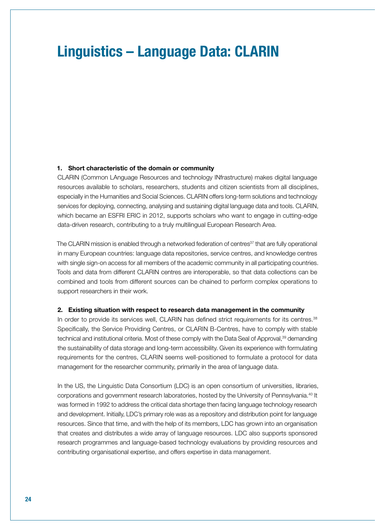### <span id="page-23-0"></span>Linguistics – Language Data: CLARIN

#### 1. Short characteristic of the domain or community

CLARIN (Common LAnguage Resources and technology INfrastructure) makes digital language resources available to scholars, researchers, students and citizen scientists from all disciplines, especially in the Humanities and Social Sciences. CLARIN offers long-term solutions and technology services for deploying, connecting, analysing and sustaining digital language data and tools. CLARIN, which became an ESFRI ERIC in 2012, supports scholars who want to engage in cutting-edge data-driven research, contributing to a truly multilingual European Research Area.

The CLARIN mission is enabled through a networked federation of centres<sup>37</sup> that are fully operational in many European countries: language data repositories, service centres, and knowledge centres with single sign-on access for all members of the academic community in all participating countries. Tools and data from different CLARIN centres are interoperable, so that data collections can be combined and tools from different sources can be chained to perform complex operations to support researchers in their work.

#### 2. Existing situation with respect to research data management in the community

In order to provide its services well, CLARIN has defined strict requirements for its centres.<sup>38</sup> Specifically, the Service Providing Centres, or CLARIN B-Centres, have to comply with stable technical and institutional criteria. Most of these comply with the Data Seal of Approval,<sup>39</sup> demanding the sustainability of data storage and long-term accessibility. Given its experience with formulating requirements for the centres, CLARIN seems well-positioned to formulate a protocol for data management for the researcher community, primarily in the area of language data.

In the US, the Linguistic Data Consortium (LDC) is an open consortium of universities, libraries, corporations and government research laboratories, hosted by the University of Pennsylvania.<sup>[40](#page-40-8)</sup> It was formed in 1992 to address the critical data shortage then facing language technology research and development. Initially, LDC's primary role was as a repository and distribution point for language resources. Since that time, and with the help of its members, LDC has grown into an organisation that creates and distributes a wide array of language resources. LDC also supports sponsored research programmes and language-based technology evaluations by providing resources and contributing organisational expertise, and offers expertise in data management.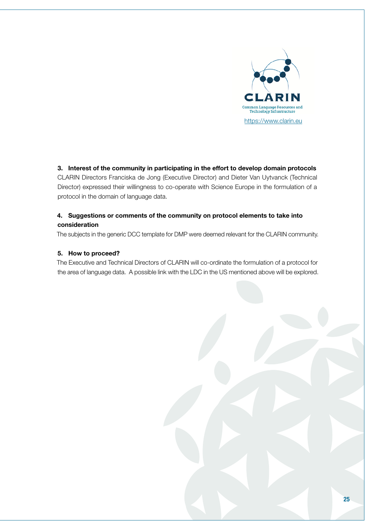

#### 3. Interest of the community in participating in the effort to develop domain protocols

CLARIN Directors Franciska de Jong (Executive Director) and Dieter Van Uytvanck (Technical Director) expressed their willingness to co-operate with Science Europe in the formulation of a protocol in the domain of language data.

#### 4. Suggestions or comments of the community on protocol elements to take into consideration

The subjects in the generic DCC template for DMP were deemed relevant for the CLARIN community.

#### 5. How to proceed?

The Executive and Technical Directors of CLARIN will co-ordinate the formulation of a protocol for the area of language data. A possible link with the LDC in the US mentioned above will be explored.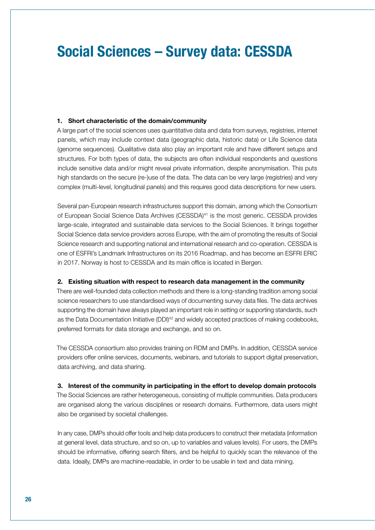### <span id="page-25-0"></span>Social Sciences – Survey data: CESSDA

#### 1. Short characteristic of the domain/community

A large part of the social sciences uses quantitative data and data from surveys, registries, internet panels, which may include context data (geographic data, historic data) or Life Science data (genome sequences). Qualitative data also play an important role and have different setups and structures. For both types of data, the subjects are often individual respondents and questions include sensitive data and/or might reveal private information, despite anonymisation. This puts high standards on the secure (re-)use of the data. The data can be very large (registries) and very complex (multi-level, longitudinal panels) and this requires good data descriptions for new users.

Several pan-European research infrastructures support this domain, among which the Consortium of European Social Science Data Archives (CESSDA)[41](#page-40-9) is the most generic. CESSDA provides large-scale, integrated and sustainable data services to the Social Sciences. It brings together Social Science data service providers across Europe, with the aim of promoting the results of Social Science research and supporting national and international research and co-operation. CESSDA is one of ESFRI's Landmark Infrastructures on its 2016 Roadmap, and has become an ESFRI ERIC in 2017. Norway is host to CESSDA and its main office is located in Bergen.

#### 2. Existing situation with respect to research data management in the community

There are well-founded data collection methods and there is a long-standing tradition among social science researchers to use standardised ways of documenting survey data files. The data archives supporting the domain have always played an important role in setting or supporting standards, such as the Data Documentation Initiative (DDI)<sup>42</sup> and widely accepted practices of making codebooks, preferred formats for data storage and exchange, and so on.

The CESSDA consortium also provides training on RDM and DMPs. In addition, CESSDA service providers offer online services, documents, webinars, and tutorials to support digital preservation, data archiving, and data sharing.

#### 3. Interest of the community in participating in the effort to develop domain protocols

The Social Sciences are rather heterogeneous, consisting of multiple communities. Data producers are organised along the various disciplines or research domains. Furthermore, data users might also be organised by societal challenges.

In any case, DMPs should offer tools and help data producers to construct their metadata (information at general level, data structure, and so on, up to variables and values levels). For users, the DMPs should be informative, offering search filters, and be helpful to quickly scan the relevance of the data. Ideally, DMPs are machine-readable, in order to be usable in text and data mining.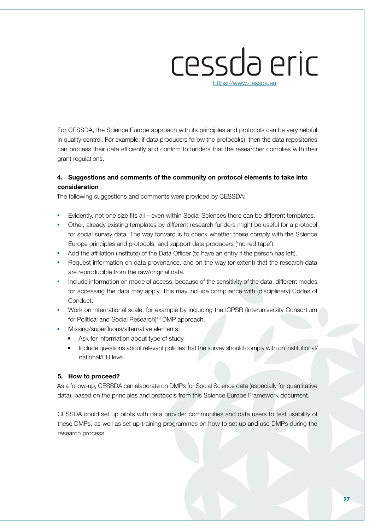# cessda eric <https://www.cessda.eu>

For CESSDA, the Science Europe approach with its principles and protocols can be very helpful in quality control. For example: if data producers follow the protocol(s), then the data repositories can process their data efficiently and confirm to funders that the researcher complies with their grant regulations.

#### 4. Suggestions and comments of the community on protocol elements to take into consideration

The following suggestions and comments were provided by CESSDA:

- Evidently, not one size fits all even within Social Sciences there can be different templates.
- Other, already existing templates by different research funders might be useful for a protocol for social survey data. The way forward is to check whether these comply with the Science Europe principles and protocols, and support data producers ('no red tape').
- Add the affiliation (institute) of the Data Officer (to have an entry if the person has left).
- **Request information on data provenance, and on the way (or extent) that the research data** are reproducible from the raw/original data.
- **Include information on mode of access: because of the sensitivity of the data, different modes** for accessing the data may apply. This may include compliance with (disciplinary) Codes of Conduct.
- Work on international scale, for example by including the ICPSR (Interuniversity Consortium for Political and Social Research)<sup>[43](#page-40-11)</sup> DMP approach.
- **Missing/superfluous/alternative elements:** 
	- Ask for information about type of study.
	- Include questions about relevant policies that the survey should comply with on institutional/ national/EU level.

#### 5. How to proceed?

As a follow-up, CESSDA can elaborate on DMPs for Social Science data (especially for quantitative data), based on the principles and protocols from this Science Europe Framework document.

CESSDA could set up pilots with data provider communities and data users to test usability of these DMPs, as well as set up training programmes on how to set up and use DMPs during the research process.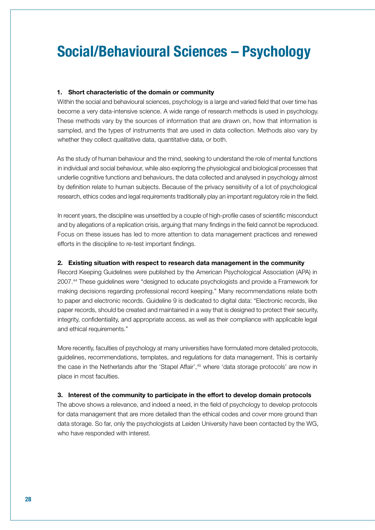### <span id="page-27-0"></span>Social/Behavioural Sciences – Psychology

#### 1. Short characteristic of the domain or community

Within the social and behavioural sciences, psychology is a large and varied field that over time has become a very data-intensive science. A wide range of research methods is used in psychology. These methods vary by the sources of information that are drawn on, how that information is sampled, and the types of instruments that are used in data collection. Methods also vary by whether they collect qualitative data, quantitative data, or both.

As the study of human behaviour and the mind, seeking to understand the role of mental functions in individual and social behaviour, while also exploring the physiological and biological processes that underlie cognitive functions and behaviours, the data collected and analysed in psychology almost by definition relate to human subjects. Because of the privacy sensitivity of a lot of psychological research, ethics codes and legal requirements traditionally play an important regulatory role in the field.

In recent years, the discipline was unsettled by a couple of high-profile cases of scientific misconduct and by allegations of a replication crisis, arguing that many findings in the field cannot be reproduced. Focus on these issues has led to more attention to data management practices and renewed efforts in the discipline to re-test important findings.

#### 2. Existing situation with respect to research data management in the community

Record Keeping Guidelines were published by the American Psychological Association (APA) in 2007[.44](#page-40-12) These guidelines were "designed to educate psychologists and provide a Framework for making decisions regarding professional record keeping." Many recommendations relate both to paper and electronic records. Guideline 9 is dedicated to digital data: "Electronic records, like paper records, should be created and maintained in a way that is designed to protect their security, integrity, confidentiality, and appropriate access, as well as their compliance with applicable legal and ethical requirements."

More recently, faculties of psychology at many universities have formulated more detailed protocols, guidelines, recommendations, templates, and regulations for data management. This is certainly the case in the Netherlands after the 'Stapel Affair',<sup>[45](#page-40-13)</sup> where 'data storage protocols' are now in place in most faculties.

#### 3. Interest of the community to participate in the effort to develop domain protocols

The above shows a relevance, and indeed a need, in the field of psychology to develop protocols for data management that are more detailed than the ethical codes and cover more ground than data storage. So far, only the psychologists at Leiden University have been contacted by the WG, who have responded with interest.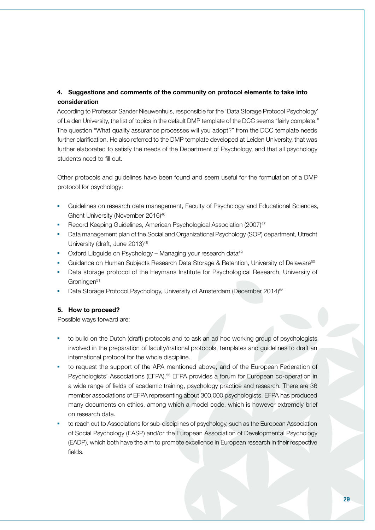#### 4. Suggestions and comments of the community on protocol elements to take into consideration

According to Professor Sander Nieuwenhuis, responsible for the 'Data Storage Protocol Psychology' of Leiden University, the list of topics in the default DMP template of the DCC seems "fairly complete." The question "What quality assurance processes will you adopt?" from the DCC template needs further clarification. He also referred to the DMP template developed at Leiden University, that was further elaborated to satisfy the needs of the Department of Psychology, and that all psychology students need to fill out.

Other protocols and guidelines have been found and seem useful for the formulation of a DMP protocol for psychology:

- Guidelines on research data management, Faculty of Psychology and Educational Sciences, Ghent University (November 2016[\)46](#page-40-14)
- Record Keeping Guidelines, American Psychological Association (2007)<sup>47</sup>
- **•** Data management plan of the Social and Organizational Psychology (SOP) department, Utrecht University (draft, June 2013[\)48](#page-40-16)
- Oxford Libguide on Psychology Managing your research data<sup>[49](#page-40-17)</sup>
- Guidance on Human Subjects Research Data Storage & Retention, University of Delaware<sup>[50](#page-40-18)</sup>
- Data storage protocol of the Heymans Institute for Psychological Research, University of Groningen<sup>[51](#page-40-19)</sup>
- Data Storage Protocol Psychology, University of Amsterdam (December 2014)<sup>52</sup>

#### 5. How to proceed?

Possible ways forward are:

- to build on the Dutch (draft) protocols and to ask an ad hoc working group of psychologists involved in the preparation of faculty/national protocols, templates and guidelines to draft an international protocol for the whole discipline.
- to request the support of the APA mentioned above, and of the European Federation of Psychologists' Associations (EFPA)[.53](#page-40-21) EFPA provides a forum for European co-operation in a wide range of fields of academic training, psychology practice and research. There are 36 member associations of EFPA representing about 300,000 psychologists. EFPA has produced many documents on ethics, among which a model code, which is however extremely brief on research data.
- to reach out to Associations for sub-disciplines of psychology, such as the European Association of Social Psychology (EASP) and/or the European Association of Developmental Psychology (EADP), which both have the aim to promote excellence in European research in their respective fields.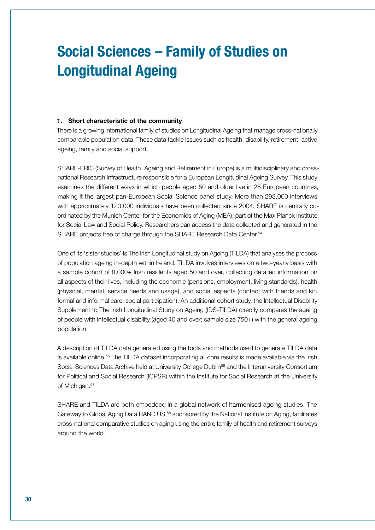# <span id="page-29-0"></span>Social Sciences – Family of Studies on Longitudinal Ageing

#### 1. Short characteristic of the community

There is a growing international family of studies on Longitudinal Ageing that manage cross-nationally comparable population data. These data tackle issues such as health, disability, retirement, active ageing, family and social support.

SHARE-ERIC (Survey of Health, Ageing and Retirement in Europe) is a multidisciplinary and crossnational Research Infrastructure responsible for a European Longitudinal Ageing Survey. This study examines the different ways in which people aged 50 and older live in 28 European countries, making it the largest pan-European Social Science panel study. More than 293,000 interviews with approximately 123,000 individuals have been collected since 2004. SHARE is centrally coordinated by the Munich Center for the Economics of Aging (MEA), part of the Max Planck Institute for Social Law and Social Policy. Researchers can access the data collected and generated in the SHARE projects free of charge through the SHARE Research Data Center.<sup>[54](#page-40-22)</sup>

One of its 'sister studies' is The Irish Longitudinal study on Ageing (TILDA) that analyses the process of population ageing in-depth within Ireland. TILDA involves interviews on a two-yearly basis with a sample cohort of 8,000+ Irish residents aged 50 and over, collecting detailed information on all aspects of their lives, including the economic (pensions, employment, living standards), health (physical, mental, service needs and usage), and social aspects (contact with friends and kin, formal and informal care, social participation). An additional cohort study, the Intellectual Disability Supplement to The Irish Longitudinal Study on Ageing (IDS-TILDA) directly compares the ageing of people with intellectual disability (aged 40 and over; sample size 750+) with the general ageing population.

A description of TILDA data generated using the tools and methods used to generate TILDA data is available online.<sup>[55](#page-40-23)</sup> The TILDA dataset incorporating all core results is made available via the Irish Social Sciences Data Archive held at University College Dublin<sup>[56](#page-40-24)</sup> and the Interuniversity Consortium for Political and Social Research (ICPSR) within the Institute for Social Research at the University of Michigan.<sup>[57](#page-40-25)</sup>

SHARE and TILDA are both embedded in a global network of harmonised ageing studies. The Gateway to Global Aging Data RAND US,<sup>58</sup> sponsored by the National Institute on Aging, facilitates cross-national comparative studies on aging using the entire family of health and retirement surveys around the world.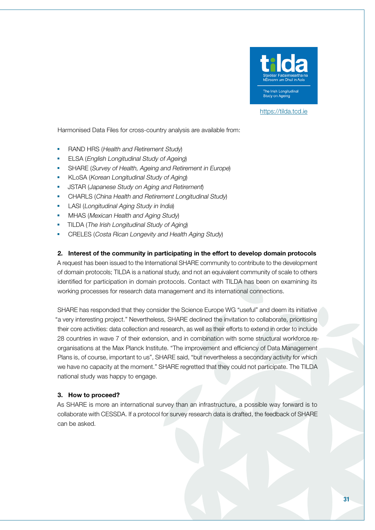

#### <https://tilda.tcd.ie>

Harmonised Data Files for cross-country analysis are available from:

- **RAND HRS (Health and Retirement Study)**
- **ELSA (English Longitudinal Study of Ageing)**
- SHARE (Survey of Health, Ageing and Retirement in Europe)
- KLoSA (Korean Longitudinal Study of Aging)
- **JSTAR (Japanese Study on Aging and Retirement)**
- CHARLS (China Health and Retirement Longitudinal Study)
- **LASI** (Longitudinal Aging Study in India)
- **MHAS (Mexican Health and Aging Study)**
- TILDA (The Irish Longitudinal Study of Aging)
- **CRELES (Costa Rican Longevity and Health Aging Study)**

#### 2. Interest of the community in participating in the effort to develop domain protocols

A request has been issued to the International SHARE community to contribute to the development of domain protocols; TILDA is a national study, and not an equivalent community of scale to others identified for participation in domain protocols. Contact with TILDA has been on examining its working processes for research data management and its international connections.

SHARE has responded that they consider the Science Europe WG "useful" and deem its initiative "a very interesting project." Nevertheless, SHARE declined the invitation to collaborate, prioritising their core activities: data collection and research, as well as their efforts to extend in order to include 28 countries in wave 7 of their extension, and in combination with some structural workforce reorganisations at the Max Planck Institute. "The improvement and efficiency of Data Management Plans is, of course, important to us", SHARE said, "but nevertheless a secondary activity for which we have no capacity at the moment." SHARE regretted that they could not participate. The TILDA national study was happy to engage.

#### 3. How to proceed?

As SHARE is more an international survey than an infrastructure, a possible way forward is to collaborate with CESSDA. If a protocol for survey research data is drafted, the feedback of SHARE can be asked.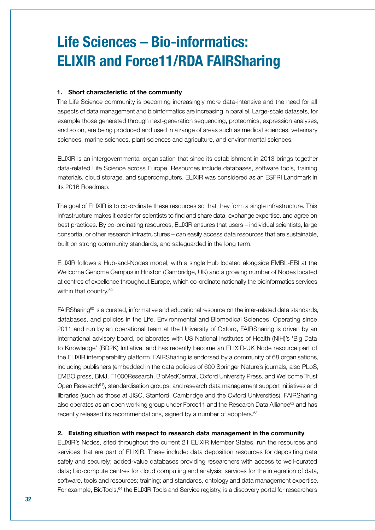# <span id="page-31-0"></span>Life Sciences – Bio-informatics: ELIXIR and Force11/RDA FAIRSharing

#### 1. Short characteristic of the community

The Life Science community is becoming increasingly more data-intensive and the need for all aspects of data management and bioinformatics are increasing in parallel. Large-scale datasets, for example those generated through next-generation sequencing, proteomics, expression analyses, and so on, are being produced and used in a range of areas such as medical sciences, veterinary sciences, marine sciences, plant sciences and agriculture, and environmental sciences.

ELIXIR is an intergovernmental organisation that since its establishment in 2013 brings together data-related Life Science across Europe. Resources include databases, software tools, training materials, cloud storage, and supercomputers. ELIXIR was considered as an ESFRI Landmark in its 2016 Roadmap.

The goal of ELIXIR is to co-ordinate these resources so that they form a single infrastructure. This infrastructure makes it easier for scientists to find and share data, exchange expertise, and agree on best practices. By co-ordinating resources, ELIXIR ensures that users – individual scientists, large consortia, or other research infrastructures – can easily access data resources that are sustainable, built on strong community standards, and safeguarded in the long term.

ELIXIR follows a Hub-and-Nodes model, with a single Hub located alongside EMBL-EBI at the Wellcome Genome Campus in Hinxton (Cambridge, UK) and a growing number of Nodes located at centres of excellence throughout Europe, which co-ordinate nationally the bioinformatics services within that country.<sup>59</sup>

 $FAIRSharina<sup>60</sup>$  is a curated, informative and educational resource on the inter-related data standards, databases, and policies in the Life, Environmental and Biomedical Sciences. Operating since 2011 and run by an operational team at the University of Oxford, FAIRSharing is driven by an international advisory board, collaborates with US National Institutes of Health (NIH)'s 'Big Data to Knowledge' (BD2K) Initiative, and has recently become an ELIXIR-UK Node resource part of the ELIXIR interoperability platform. FAIRSharing is endorsed by a community of 68 organisations, including publishers (embedded in the data policies of 600 Springer Nature's journals, also PLoS, EMBO press, BMJ, F1000Research, BioMedCentral, Oxford University Press, and Wellcome Trust Open Research<sup>61</sup>), standardisation groups, and research data management support initiatives and libraries (such as those at JISC, Stanford, Cambridge and the Oxford Universities). FAIRSharing also operates as an open working group under Force11 and the Research Data Alliance<sup>62</sup> and has recently released its recommendations, signed by a number of adopters.<sup>[63](#page-40-31)</sup>

#### 2. Existing situation with respect to research data management in the community

ELIXIR's Nodes, sited throughout the current 21 ELIXIR Member States, run the resources and services that are part of ELIXIR. These include: data deposition resources for depositing data safely and securely; added-value databases providing researchers with access to well-curated data; bio-compute centres for cloud computing and analysis; services for the integration of data, software, tools and resources; training; and standards, ontology and data management expertise. For example, BioTools,<sup>[64](#page-40-32)</sup> the ELIXIR Tools and Service registry, is a discovery portal for researchers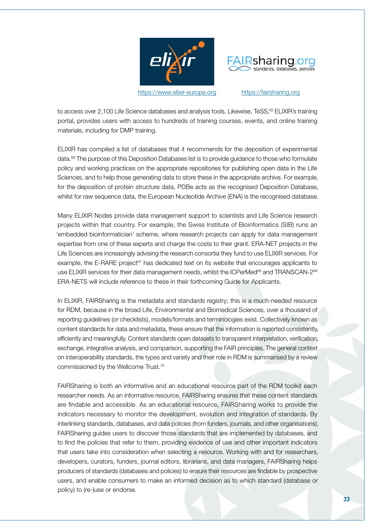



<https://www.elixir-europe.org> <https://fairsharing.org>

to access over 2,100 Life Science databases and analysis tools. Likewise, TeSS,<sup>[65](#page-40-33)</sup> ELIXIR's training portal, provides users with access to hundreds of training courses, events, and online training materials, including for DMP training.

ELIXIR has compiled a list of databases that it recommends for the deposition of experimental data.<sup>[66](#page-40-34)</sup> The purpose of this Deposition Databases list is to provide guidance to those who formulate policy and working practices on the appropriate repositories for publishing open data in the Life Sciences, and to help those generating data to store these in the appropriate archive. For example, for the deposition of protein structure data, PDBe acts as the recognised Deposition Database, whilst for raw sequence data, the European Nucleotide Archive (ENA) is the recognised database.

Many ELIXIR Nodes provide data management support to scientists and Life Science research projects within that country. For example, the Swiss Institute of Bioinformatics (SIB) runs an 'embedded bioinformatician' scheme, where research projects can apply for data management expertise from one of these experts and charge the costs to their grant. ERA-NET projects in the Life Sciences are increasingly advising the research consortia they fund to use ELIXIR services. For example, the E-RARE project<sup>67</sup> has dedicated text on its website that encourages applicants to use ELIXIR services for their data management needs, whilst the ICPerMed<sup>[68](#page-40-36)</sup> and TRANSCAN-2<sup>69</sup> ERA-NETS will include reference to these in their forthcoming Guide for Applicants.

In ELIXIR, FAIRSharing is the metadata and standards registry; this is a much-needed resource for RDM, because in the broad Life, Environmental and Biomedical Sciences, over a thousand of reporting guidelines (or checklists), models/formats and terminologies exist. Collectively known as content standards for data and metadata, these ensure that the information is reported consistently, efficiently and meaningfully. Content standards open datasets to transparent interpretation, verification, exchange, integrative analysis, and comparison, supporting the FAIR principles. The general context on interoperability standards, the types and variety and their role in RDM is summarised by a review commissioned by the Wellcome Trust.<sup>[70](#page-40-38)</sup>

FAIRSharing is both an informative and an educational resource part of the RDM toolkit each researcher needs. As an informative resource, FAIRSharing ensures that these content standards are findable and accessible. As an educational resource, FAIRSharing works to provide the indicators necessary to monitor the development, evolution and integration of standards. By interlinking standards, databases, and data policies (from funders, journals, and other organisations), FAIRSharing guides users to discover those standards that are implemented by databases, and to find the policies that refer to them, providing evidence of use and other important indicators that users take into consideration when selecting a resource. Working with and for researchers, developers, curators, funders, journal editors, librarians, and data managers, FAIRSharing helps producers of standards (databases and policies) to ensure their resources are findable by prospective users, and enable consumers to make an informed decision as to which standard (database or policy) to (re-)use or endorse.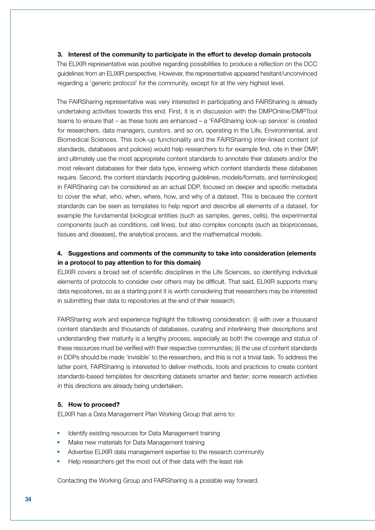#### 3. Interest of the community to participate in the effort to develop domain protocols

The ELIXIR representative was positive regarding possibilities to produce a reflection on the DCC guidelines from an ELIXIR perspective. However, the representative appeared hesitant/unconvinced regarding a 'generic protocol' for the community, except for at the very highest level.

The FAIRSharing representative was very interested in participating and FAIRSharing is already undertaking activities towards this end. First, it is in discussion with the DMPOnline/DMPTool teams to ensure that – as these tools are enhanced – a 'FAIRSharing look-up service' is created for researchers, data managers, curators, and so on, operating in the Life, Environmental, and Biomedical Sciences. This look-up functionality and the FAIRSharing inter-linked content (of standards, databases and policies) would help researchers to for example find, cite in their DMP, and ultimately use the most appropriate content standards to annotate their datasets and/or the most relevant databases for their data type, knowing which content standards these databases require. Second, the content standards (reporting guidelines, models/formats, and terminologies) in FAIRSharing can be considered as an actual DDP, focused on deeper and specific metadata to cover the what, who, when, where, how, and why of a dataset. This is because the content standards can be seen as templates to help report and describe all elements of a dataset, for example the fundamental biological entities (such as samples, genes, cells), the experimental components (such as conditions, cell lines), but also complex concepts (such as bioprocesses, tissues and diseases), the analytical process, and the mathematical models.

#### 4. Suggestions and comments of the community to take into consideration (elements in a protocol to pay attention to for this domain)

ELIXIR covers a broad set of scientific disciplines in the Life Sciences, so identifying individual elements of protocols to consider over others may be difficult. That said, ELIXIR supports many data repositories, so as a starting point it is worth considering that researchers may be interested in submitting their data to repositories at the end of their research.

FAIRSharing work and experience highlight the following consideration: (i) with over a thousand content standards and thousands of databases, curating and interlinking their descriptions and understanding their maturity is a lengthy process, especially as both the coverage and status of these resources must be verified with their respective communities; (ii) the use of content standards in DDPs should be made 'invisible' to the researchers, and this is not a trivial task. To address the latter point, FAIRSharing is interested to deliver methods, tools and practices to create content standards-based templates for describing datasets smarter and faster; some research activities in this directions are already being undertaken.

#### 5. How to proceed?

ELIXIR has a Data Management Plan Working Group that aims to:

- Identify existing resources for Data Management training
- **Make new materials for Data Management training**
- Advertise ELIXIR data management expertise to the research community
- Help researchers get the most out of their data with the least risk

Contacting the Working Group and FAIRSharing is a possible way forward.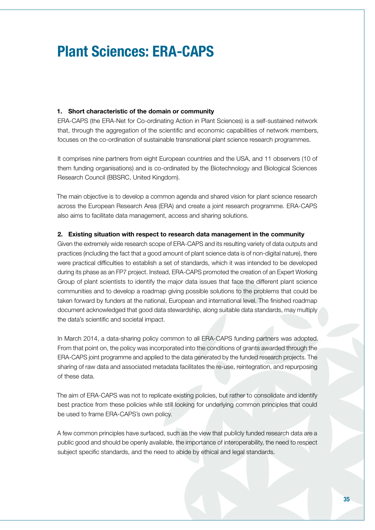# <span id="page-34-0"></span>Plant Sciences: ERA-CAPS

#### 1. Short characteristic of the domain or community

ERA-CAPS (the ERA-Net for Co-ordinating Action in Plant Sciences) is a self-sustained network that, through the aggregation of the scientific and economic capabilities of network members, focuses on the co-ordination of sustainable transnational plant science research programmes.

It comprises nine partners from eight European countries and the USA, and 11 observers (10 of them funding organisations) and is co-ordinated by the Biotechnology and Biological Sciences Research Council (BBSRC, United Kingdom).

The main objective is to develop a common agenda and shared vision for plant science research across the European Research Area (ERA) and create a joint research programme. ERA-CAPS also aims to facilitate data management, access and sharing solutions.

#### 2. Existing situation with respect to research data management in the community

Given the extremely wide research scope of ERA-CAPS and its resulting variety of data outputs and practices (including the fact that a good amount of plant science data is of non-digital nature), there were practical difficulties to establish a set of standards, which it was intended to be developed during its phase as an FP7 project. Instead, ERA-CAPS promoted the creation of an Expert Working Group of plant scientists to identify the major data issues that face the different plant science communities and to develop a roadmap giving possible solutions to the problems that could be taken forward by funders at the national, European and international level. The finished roadmap document acknowledged that good data stewardship, along suitable data standards, may multiply the data's scientific and societal impact.

In March 2014, a data-sharing policy common to all ERA-CAPS funding partners was adopted. From that point on, the policy was incorporated into the conditions of grants awarded through the ERA-CAPS joint programme and applied to the data generated by the funded research projects. The sharing of raw data and associated metadata facilitates the re-use, reintegration, and repurposing of these data.

The aim of ERA-CAPS was not to replicate existing policies, but rather to consolidate and identify best practice from these policies while still looking for underlying common principles that could be used to frame ERA-CAPS's own policy.

A few common principles have surfaced, such as the view that publicly funded research data are a public good and should be openly available, the importance of interoperability, the need to respect subject specific standards, and the need to abide by ethical and legal standards.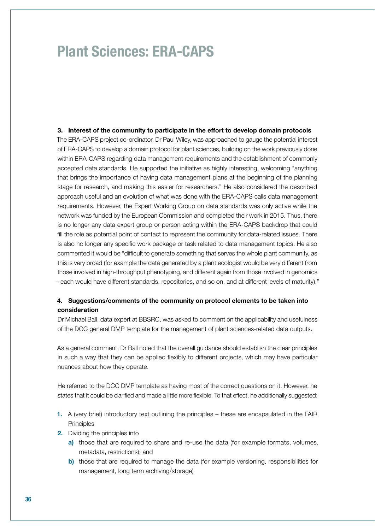### Plant Sciences: ERA-CAPS

#### 3. Interest of the community to participate in the effort to develop domain protocols

The ERA-CAPS project co-ordinator, Dr Paul Wiley, was approached to gauge the potential interest of ERA-CAPS to develop a domain protocol for plant sciences, building on the work previously done within ERA-CAPS regarding data management requirements and the establishment of commonly accepted data standards. He supported the initiative as highly interesting, welcoming "anything that brings the importance of having data management plans at the beginning of the planning stage for research, and making this easier for researchers." He also considered the described approach useful and an evolution of what was done with the ERA-CAPS calls data management requirements. However, the Expert Working Group on data standards was only active while the network was funded by the European Commission and completed their work in 2015. Thus, there is no longer any data expert group or person acting within the ERA-CAPS backdrop that could fill the role as potential point of contact to represent the community for data-related issues. There is also no longer any specific work package or task related to data management topics. He also commented it would be "difficult to generate something that serves the whole plant community, as this is very broad (for example the data generated by a plant ecologist would be very different from those involved in high-throughput phenotyping, and different again from those involved in genomics – each would have different standards, repositories, and so on, and at different levels of maturity)."

#### 4. Suggestions/comments of the community on protocol elements to be taken into consideration

Dr Michael Ball, data expert at BBSRC, was asked to comment on the applicability and usefulness of the DCC general DMP template for the management of plant sciences-related data outputs.

As a general comment, Dr Ball noted that the overall guidance should establish the clear principles in such a way that they can be applied flexibly to different projects, which may have particular nuances about how they operate.

He referred to the DCC DMP template as having most of the correct questions on it. However, he states that it could be clarified and made a little more flexible. To that effect, he additionally suggested:

- 1. A (very brief) introductory text outlining the principles these are encapsulated in the FAIR **Principles**
- 2. Dividing the principles into
	- a) those that are required to share and re-use the data (for example formats, volumes, metadata, restrictions); and
	- b) those that are required to manage the data (for example versioning, responsibilities for management, long term archiving/storage)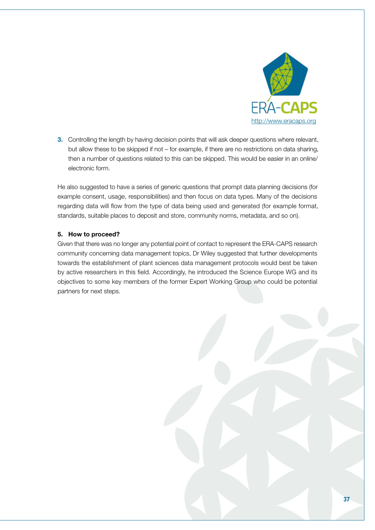

**3.** Controlling the length by having decision points that will ask deeper questions where relevant, but allow these to be skipped if not – for example, if there are no restrictions on data sharing, then a number of questions related to this can be skipped. This would be easier in an online/ electronic form.

He also suggested to have a series of generic questions that prompt data planning decisions (for example consent, usage, responsibilities) and then focus on data types. Many of the decisions regarding data will flow from the type of data being used and generated (for example format, standards, suitable places to deposit and store, community norms, metadata, and so on).

#### 5. How to proceed?

Given that there was no longer any potential point of contact to represent the ERA-CAPS research community concerning data management topics, Dr Wiley suggested that further developments towards the establishment of plant sciences data management protocols would best be taken by active researchers in this field. Accordingly, he introduced the Science Europe WG and its objectives to some key members of the former Expert Working Group who could be potential partners for next steps.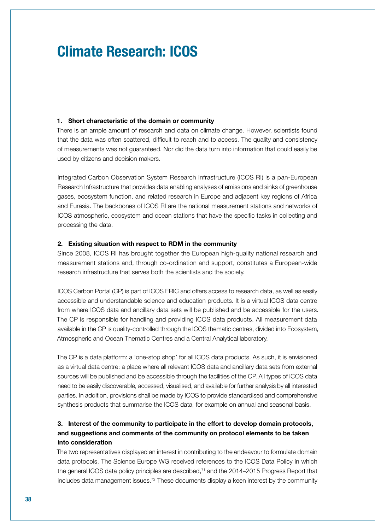### <span id="page-37-0"></span>Climate Research: ICOS

#### 1. Short characteristic of the domain or community

There is an ample amount of research and data on climate change. However, scientists found that the data was often scattered, difficult to reach and to access. The quality and consistency of measurements was not guaranteed. Nor did the data turn into information that could easily be used by citizens and decision makers.

Integrated Carbon Observation System Research Infrastructure (ICOS RI) is a pan-European Research Infrastructure that provides data enabling analyses of emissions and sinks of greenhouse gases, ecosystem function, and related research in Europe and adjacent key regions of Africa and Eurasia. The backbones of ICOS RI are the national measurement stations and networks of ICOS atmospheric, ecosystem and ocean stations that have the specific tasks in collecting and processing the data.

#### 2. Existing situation with respect to RDM in the community

Since 2008, ICOS RI has brought together the European high-quality national research and measurement stations and, through co-ordination and support, constitutes a European-wide research infrastructure that serves both the scientists and the society.

ICOS Carbon Portal (CP) is part of ICOS ERIC and offers access to research data, as well as easily accessible and understandable science and education products. It is a virtual ICOS data centre from where ICOS data and ancillary data sets will be published and be accessible for the users. The CP is responsible for handling and providing ICOS data products. All measurement data available in the CP is quality-controlled through the ICOS thematic centres, divided into Ecosystem, Atmospheric and Ocean Thematic Centres and a Central Analytical laboratory.

The CP is a data platform: a 'one-stop shop' for all ICOS data products. As such, it is envisioned as a virtual data centre: a place where all relevant ICOS data and ancillary data sets from external sources will be published and be accessible through the facilities of the CP. All types of ICOS data need to be easily discoverable, accessed, visualised, and available for further analysis by all interested parties. In addition, provisions shall be made by ICOS to provide standardised and comprehensive synthesis products that summarise the ICOS data, for example on annual and seasonal basis.

#### 3. Interest of the community to participate in the effort to develop domain protocols, and suggestions and comments of the community on protocol elements to be taken into consideration

The two representatives displayed an interest in contributing to the endeavour to formulate domain data protocols. The Science Europe WG received references to the ICOS Data Policy in which the general ICOS data policy principles are described,<sup>[71](#page-40-39)</sup> and the 2014–2015 Progress Report that includes data management issues.<sup>72</sup> These documents display a keen interest by the community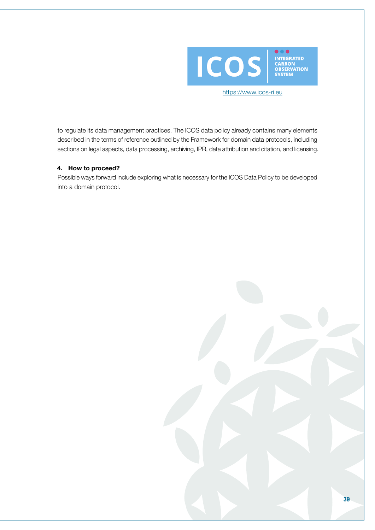

<https://www.icos-ri.eu>

to regulate its data management practices. The ICOS data policy already contains many elements described in the terms of reference outlined by the Framework for domain data protocols, including sections on legal aspects, data processing, archiving, IPR, data attribution and citation, and licensing.

#### 4. How to proceed?

Possible ways forward include exploring what is necessary for the ICOS Data Policy to be developed into a domain protocol.

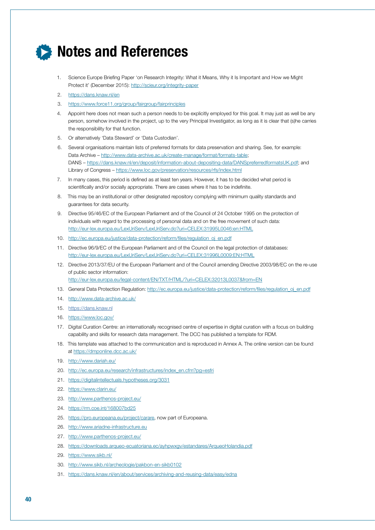<span id="page-39-0"></span>

### **Notes and References**

- <span id="page-39-2"></span>1. Science Europe Briefing Paper 'on Research Integrity: What it Means, Why it Is Important and How we Might Protect it' (December 2015):<http://scieur.org/integrity-paper>
- <span id="page-39-1"></span>2. <https://dans.knaw.nl/en>
- <span id="page-39-3"></span>3. <https://www.force11.org/group/fairgroup/fairprinciples>
- <span id="page-39-4"></span>4. Appoint here does not mean such a person needs to be explicitly employed for this goal. It may just as well be any person, somehow involved in the project, up to the very Principal Investigator, as long as it is clear that (s)he carries the responsibility for that function.
- <span id="page-39-5"></span>5. Or alternatively 'Data Steward' or 'Data Custodian'.
- <span id="page-39-6"></span>6. Several organisations maintain lists of preferred formats for data preservation and sharing. See, for example: Data Archive – <http://www.data-archive.ac.uk/create-manage/format/formats-table>; DANS –<https://dans.knaw.nl/en/deposit/information-about-depositing-data/DANSpreferredformatsUK.pdf>; and Library of Congress -<https://www.loc.gov/preservation/resources/rfs/index.html>
- <span id="page-39-7"></span>7. In many cases, this period is defined as at least ten years. However, it has to be decided what period is scientifically and/or socially appropriate. There are cases where it has to be indefinite.
- <span id="page-39-8"></span>8. This may be an institutional or other designated repository complying with minimum quality standards and guarantees for data security.
- <span id="page-39-9"></span>9. Directive 95/46/EC of the European Parliament and of the Council of 24 October 1995 on the protection of individuals with regard to the processing of personal data and on the free movement of such data: <http://eur-lex.europa.eu/LexUriServ/LexUriServ.do?uri=CELEX:31995L0046:en:HTML>
- <span id="page-39-10"></span>10. [http://ec.europa.eu/justice/data-protection/reform/files/regulation\\_oj\\_en.pdf](http://ec.europa.eu/justice/data-protection/reform/files/regulation_oj_en.pdf)
- <span id="page-39-11"></span>11. Directive 96/9/EC of the European Parliament and of the Council on the legal protection of databases: <http://eur-lex.europa.eu/LexUriServ/LexUriServ.do?uri=CELEX:31996L0009:EN:HTML>
- <span id="page-39-12"></span>12. Directive 2013/37/EU of the European Parliament and of the Council amending Directive 2003/98/EC on the re-use of public sector information: <http://eur-lex.europa.eu/legal-content/EN/TXT/HTML/?uri=CELEX:32013L0037&from=EN>
- <span id="page-39-13"></span>13. General Data Protection Regulation: [http://ec.europa.eu/justice/data-protection/reform/files/regulation\\_oj\\_en.pdf](http://ec.europa.eu/justice/data-protection/reform/files/regulation_oj_en.pdf)
- <span id="page-39-14"></span>14. <http://www.data-archive.ac.uk/>
- <span id="page-39-15"></span>15. <https://dans.knaw.nl>
- <span id="page-39-16"></span>16. <https://www.loc.gov/>
- <span id="page-39-17"></span>17. Digital Curation Centre: an internationally recognised centre of expertise in digital curation with a focus on building capability and skills for research data management. The DCC has published a template for RDM.
- <span id="page-39-18"></span>18. This template was attached to the communication and is reproduced in Annex A. The online version can be found at <https://dmponline.dcc.ac.uk/>
- <span id="page-39-19"></span>19. <http://www.dariah.eu/>
- <span id="page-39-20"></span>20. [http://ec.europa.eu/research/infrastructures/index\\_en.cfm?pg=esfri](http://ec.europa.eu/research/infrastructures/index_en.cfm?pg=esfri)
- <span id="page-39-21"></span>21. <https://digitalintellectuals.hypotheses.org/3031>
- <span id="page-39-22"></span>22. <https://www.clarin.eu/>
- <span id="page-39-23"></span>23. <http://www.parthenos-project.eu/>
- <span id="page-39-24"></span>24. <https://rm.coe.int/168007bd25>
- <span id="page-39-25"></span>25. <https://pro.europeana.eu/project/carare>, now part of Europeana.
- <span id="page-39-26"></span>26. <http://www.ariadne-infrastructure.eu>
- <span id="page-39-27"></span>27. <http://www.parthenos-project.eu/>
- <span id="page-39-28"></span>28. <https://downloads.arqueo-ecuatoriana.ec/ayhpwxgv/estandares/ArqueoHolandia.pdf>
- <span id="page-39-29"></span>29. <https://www.sikb.nl/>
- <span id="page-39-30"></span>30. <http://www.sikb.nl/archeologie/pakbon-en-sikb0102>
- <span id="page-39-31"></span>31. <https://dans.knaw.nl/en/about/services/archiving-and-reusing-data/easy/edna>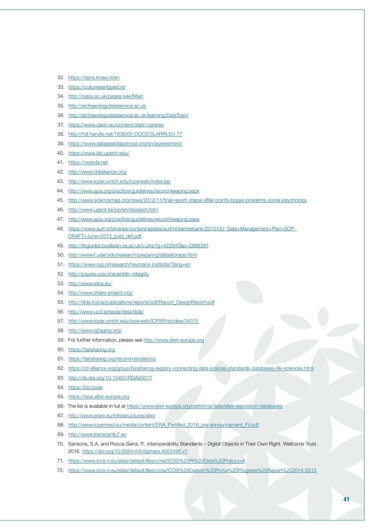- <span id="page-40-0"></span>32. <https://dans.knaw.nl/en>
- <span id="page-40-1"></span>33. <https://cultureelerfgoed.nl/>
- <span id="page-40-2"></span>34. <http://oasis.ac.uk/pages/wiki/Main>
- <span id="page-40-3"></span>35. [http://archaeologydataservice.ac.uk](http://archaeologydataservice.ac.uk/)
- <span id="page-40-4"></span>36. [http://archaeologydataservice.ac.uk/learning/DataTrain/](http://archaeologydataservice.ac.uk/)
- <span id="page-40-5"></span>37. <https://www.clarin.eu/content/clarin-centres>
- <span id="page-40-6"></span>38. <http://hdl.handle.net/1839/00-DOCS.CLARIN.EU-77>
- <span id="page-40-7"></span>39. <https://www.datasealofapproval.org/en/assessment/>
- <span id="page-40-8"></span>40. <https://www.ldc.upenn.edu/>
- <span id="page-40-9"></span>41. <https://cessda.net>
- <span id="page-40-10"></span>42. <http://www.ddialliance.org/>
- <span id="page-40-11"></span>43. <http://www.icpsr.umich.edu/icpsrweb/index.jsp>
- <span id="page-40-12"></span>44. <http://www.apa.org/practice/guidelines/record-keeping.aspx>
- <span id="page-40-13"></span>45. <http://www.sciencemag.org/news/2012/11/final-report-stapel-affair-points-bigger-problems-social-psychology>
- <span id="page-40-14"></span>46. <http://www.ugent.be/pp/en/research/rdm>
- <span id="page-40-15"></span>47. <http://www.apa.org/practice/guidelines/record-keeping.aspx>
- <span id="page-40-16"></span>48. [https://www.surf.nl/binaries/content/assets/surf/nl/kennisbank/2013/UU\\_Data+Management+Plan+SOP\\_](https://www.surf.nl/binaries/content/assets/surf/nl/kennisbank/2013/UU_Data+Management+Plan+SOP_DRAFT+June+2013_publ_def.pdf) [DRAFT+June+2013\\_publ\\_def.pdf](https://www.surf.nl/binaries/content/assets/surf/nl/kennisbank/2013/UU_Data+Management+Plan+SOP_DRAFT+June+2013_publ_def.pdf)
- <span id="page-40-17"></span>49. <http://libguides.bodleian.ox.ac.uk/c.php?g=422945&p=2888381>
- <span id="page-40-18"></span>50. <http://www1.udel.edu/research/preparing/datastorage.html>
- <span id="page-40-19"></span>51. <https://www.rug.nl/research/heymans-institute/?lang=en>
- <span id="page-40-20"></span>52. <http://psyres.uva.nl/scientific-integrity>
- <span id="page-40-21"></span>53. <http://www.efpa.eu/>
- <span id="page-40-22"></span>54. http://www.share-project.org/
- <span id="page-40-23"></span>55. [http://tilda.tcd.ie/publications/reports/pdf/Report\\_DesignReport.pdf](http://tilda.tcd.ie/publications/reports/pdf/Report_DesignReport.pdf)
- <span id="page-40-24"></span>56. http://[www.ucd.ie/issda/data/tilda/](http://www.ucd.ie/issda/data/tilda/)
- <span id="page-40-25"></span>57. http://www.icpsr.umich.edu/icpsrweb/ICPSR/studies/34315
- <span id="page-40-26"></span>58. http://[www.g2aging.org/](http://www.g2aging.org/)
- <span id="page-40-27"></span>59. For further information, please see<http://www.elixir-europe.org>
- <span id="page-40-28"></span>60. <https://fairsharing.org>
- <span id="page-40-29"></span>61. <https://fairsharing.org/recommendations>
- <span id="page-40-30"></span>62. <https://rd-alliance.org/group/biosharing-registry-connecting-data-policies-standards-databases-life-sciences.html>
- <span id="page-40-31"></span>63. <http://dx.doi.org/10.15497/RDA00017>
- <span id="page-40-32"></span>64. <https://bio.tools>
- <span id="page-40-33"></span>65. https://tess.elixir-europe.org
- <span id="page-40-34"></span>66. The list is available in full at <https://www.elixir-europe.org/platforms/data/elixir-deposition-databases>
- <span id="page-40-35"></span>67. <http://www.erare.eu/Infrastructures/elixir>
- <span id="page-40-36"></span>68. [http://www.icpermed.eu/media/content/ERA\\_PerMed\\_2018\\_pre-announcement\\_FV.pdf](http://www.icpermed.eu/media/content/ERA_PerMed_2018_pre-announcement_FV.pdf)
- <span id="page-40-37"></span>69. <http://www.transcanfp7.eu>
- <span id="page-40-38"></span>70. Sansone, S.A. and Rocca-Serra, P., Interoperability Standards – Digital Objects in Their Own Right. Wellcome Trust. 2016. <https://doi.org/10.6084/m9.figshare.4055496.v1>
- <span id="page-40-39"></span>71. <https://www.icos-ri.eu/sites/default/files/cmis/ICOS%20RI%20Data%20Policy.pdf>
- <span id="page-40-40"></span>72. <https://www.icos-ri.eu/sites/default/files/cmis/ICOS%20Carbon%20Portal%20Progress%20Report%202014-2015>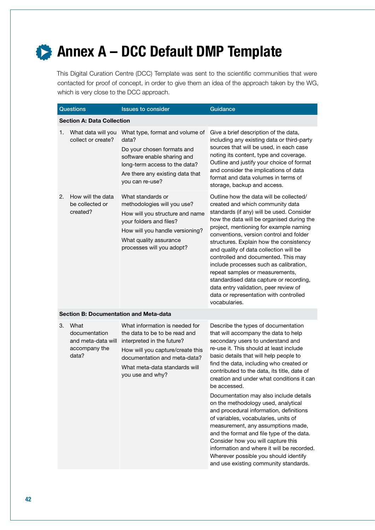<span id="page-41-0"></span>

# Annex A – DCC Default DMP Template

This Digital Curation Centre (DCC) Template was sent to the scientific communities that were contacted for proof of concept, in order to give them an idea of the approach taken by the WG, which is very close to the DCC approach.

|    | <b>Questions</b>                                                      | <b>Issues to consider</b>                                                                                                                                                                                              | Guidance                                                                                                                                                                                                                                                                                                                                                                                                                                                                                                                                                                                                                                                                                                                                                                                  |  |
|----|-----------------------------------------------------------------------|------------------------------------------------------------------------------------------------------------------------------------------------------------------------------------------------------------------------|-------------------------------------------------------------------------------------------------------------------------------------------------------------------------------------------------------------------------------------------------------------------------------------------------------------------------------------------------------------------------------------------------------------------------------------------------------------------------------------------------------------------------------------------------------------------------------------------------------------------------------------------------------------------------------------------------------------------------------------------------------------------------------------------|--|
|    | <b>Section A: Data Collection</b>                                     |                                                                                                                                                                                                                        |                                                                                                                                                                                                                                                                                                                                                                                                                                                                                                                                                                                                                                                                                                                                                                                           |  |
| 1. | What data will you<br>collect or create?                              | What type, format and volume of<br>data?<br>Do your chosen formats and<br>software enable sharing and<br>long-term access to the data?<br>Are there any existing data that<br>you can re-use?                          | Give a brief description of the data,<br>including any existing data or third-party<br>sources that will be used, in each case<br>noting its content, type and coverage.<br>Outline and justify your choice of format<br>and consider the implications of data<br>format and data volumes in terms of<br>storage, backup and access.                                                                                                                                                                                                                                                                                                                                                                                                                                                      |  |
| 2. | How will the data<br>be collected or<br>created?                      | What standards or<br>methodologies will you use?<br>How will you structure and name<br>your folders and files?<br>How will you handle versioning?<br>What quality assurance<br>processes will you adopt?               | Outline how the data will be collected/<br>created and which community data<br>standards (if any) will be used. Consider<br>how the data will be organised during the<br>project, mentioning for example naming<br>conventions, version control and folder<br>structures. Explain how the consistency<br>and quality of data collection will be<br>controlled and documented. This may<br>include processes such as calibration,<br>repeat samples or measurements,<br>standardised data capture or recording,<br>data entry validation, peer review of<br>data or representation with controlled<br>vocabularies.                                                                                                                                                                        |  |
|    |                                                                       | <b>Section B: Documentation and Meta-data</b>                                                                                                                                                                          |                                                                                                                                                                                                                                                                                                                                                                                                                                                                                                                                                                                                                                                                                                                                                                                           |  |
| 3. | What<br>documentation<br>and meta-data will<br>accompany the<br>data? | What information is needed for<br>the data to be to be read and<br>interpreted in the future?<br>How will you capture/create this<br>documentation and meta-data?<br>What meta-data standards will<br>you use and why? | Describe the types of documentation<br>that will accompany the data to help<br>secondary users to understand and<br>re-use it. This should at least include<br>basic details that will help people to<br>find the data, including who created or<br>contributed to the data, its title, date of<br>creation and under what conditions it can<br>be accessed.<br>Documentation may also include details<br>on the methodology used, analytical<br>and procedural information, definitions<br>of variables, vocabularies, units of<br>measurement, any assumptions made,<br>and the format and file type of the data.<br>Consider how you will capture this<br>information and where it will be recorded.<br>Wherever possible you should identify<br>and use existing community standards. |  |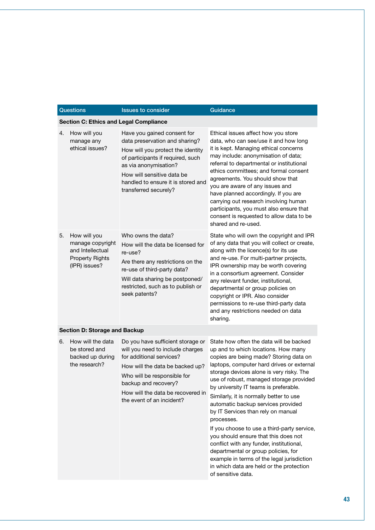|                                               | <b>Questions</b>                                                                                | <b>Issues to consider</b>                                                                                                                                                                                                                                     | Guidance                                                                                                                                                                                                                                                                                                                                                                                                                                                                                                                                                                                                                                                                                                                             |
|-----------------------------------------------|-------------------------------------------------------------------------------------------------|---------------------------------------------------------------------------------------------------------------------------------------------------------------------------------------------------------------------------------------------------------------|--------------------------------------------------------------------------------------------------------------------------------------------------------------------------------------------------------------------------------------------------------------------------------------------------------------------------------------------------------------------------------------------------------------------------------------------------------------------------------------------------------------------------------------------------------------------------------------------------------------------------------------------------------------------------------------------------------------------------------------|
| <b>Section C: Ethics and Legal Compliance</b> |                                                                                                 |                                                                                                                                                                                                                                                               |                                                                                                                                                                                                                                                                                                                                                                                                                                                                                                                                                                                                                                                                                                                                      |
| 4.                                            | How will you<br>manage any<br>ethical issues?                                                   | Have you gained consent for<br>data preservation and sharing?<br>How will you protect the identity<br>of participants if required, such<br>as via anonymisation?<br>How will sensitive data be<br>handled to ensure it is stored and<br>transferred securely? | Ethical issues affect how you store<br>data, who can see/use it and how long<br>it is kept. Managing ethical concerns<br>may include: anonymisation of data;<br>referral to departmental or institutional<br>ethics committees; and formal consent<br>agreements. You should show that<br>you are aware of any issues and<br>have planned accordingly. If you are<br>carrying out research involving human<br>participants, you must also ensure that<br>consent is requested to allow data to be<br>shared and re-used.                                                                                                                                                                                                             |
| 5.                                            | How will you<br>manage copyright<br>and Intellectual<br><b>Property Rights</b><br>(IPR) issues? | Who owns the data?<br>How will the data be licensed for<br>$re-use?$<br>Are there any restrictions on the<br>re-use of third-party data?<br>Will data sharing be postponed/<br>restricted, such as to publish or<br>seek patents?                             | State who will own the copyright and IPR<br>of any data that you will collect or create,<br>along with the licence(s) for its use<br>and re-use. For multi-partner projects,<br>IPR ownership may be worth covering<br>in a consortium agreement. Consider<br>any relevant funder, institutional,<br>departmental or group policies on<br>copyright or IPR. Also consider<br>permissions to re-use third-party data<br>and any restrictions needed on data<br>sharing.                                                                                                                                                                                                                                                               |
|                                               | <b>Section D: Storage and Backup</b>                                                            |                                                                                                                                                                                                                                                               |                                                                                                                                                                                                                                                                                                                                                                                                                                                                                                                                                                                                                                                                                                                                      |
| 6.                                            | How will the data<br>be stored and<br>backed up during<br>the research?                         | Do you have sufficient storage or<br>will you need to include charges<br>for additional services?<br>How will the data be backed up?<br>Who will be responsible for<br>backup and recovery?<br>How will the data be recovered in<br>the event of an incident? | State how often the data will be backed<br>up and to which locations. How many<br>copies are being made? Storing data on<br>laptops, computer hard drives or external<br>storage devices alone is very risky. The<br>use of robust, managed storage provided<br>by university IT teams is preferable.<br>Similarly, it is normally better to use<br>automatic backup services provided<br>by IT Services than rely on manual<br>processes.<br>If you choose to use a third-party service,<br>you should ensure that this does not<br>conflict with any funder, institutional,<br>departmental or group policies, for<br>example in terms of the legal jurisdiction<br>in which data are held or the protection<br>of sensitive data. |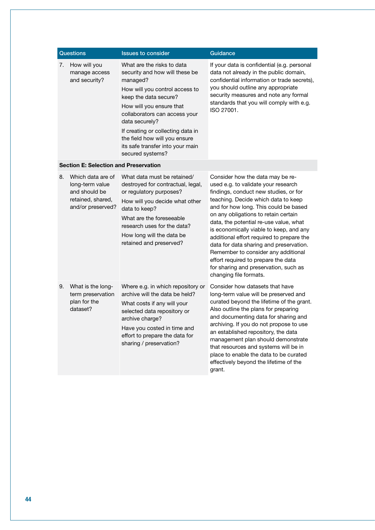|    | <b>Questions</b>                                                                                | <b>Issues to consider</b>                                                                                                                                                                                                                                                                                                                        | Guidance                                                                                                                                                                                                                                                                                                                                                                                                                                                                                                                                                               |
|----|-------------------------------------------------------------------------------------------------|--------------------------------------------------------------------------------------------------------------------------------------------------------------------------------------------------------------------------------------------------------------------------------------------------------------------------------------------------|------------------------------------------------------------------------------------------------------------------------------------------------------------------------------------------------------------------------------------------------------------------------------------------------------------------------------------------------------------------------------------------------------------------------------------------------------------------------------------------------------------------------------------------------------------------------|
| 7. | How will you<br>manage access<br>and security?                                                  | What are the risks to data<br>security and how will these be<br>managed?<br>How will you control access to<br>keep the data secure?<br>How will you ensure that<br>collaborators can access your<br>data securely?<br>If creating or collecting data in<br>the field how will you ensure<br>its safe transfer into your main<br>secured systems? | If your data is confidential (e.g. personal<br>data not already in the public domain,<br>confidential information or trade secrets),<br>you should outline any appropriate<br>security measures and note any formal<br>standards that you will comply with e.g.<br>ISO 27001.                                                                                                                                                                                                                                                                                          |
|    | <b>Section E: Selection and Preservation</b>                                                    |                                                                                                                                                                                                                                                                                                                                                  |                                                                                                                                                                                                                                                                                                                                                                                                                                                                                                                                                                        |
| 8. | Which data are of<br>long-term value<br>and should be<br>retained, shared,<br>and/or preserved? | What data must be retained/<br>destroyed for contractual, legal,<br>or regulatory purposes?<br>How will you decide what other<br>data to keep?<br>What are the foreseeable<br>research uses for the data?<br>How long will the data be<br>retained and preserved?                                                                                | Consider how the data may be re-<br>used e.g. to validate your research<br>findings, conduct new studies, or for<br>teaching. Decide which data to keep<br>and for how long. This could be based<br>on any obligations to retain certain<br>data, the potential re-use value, what<br>is economically viable to keep, and any<br>additional effort required to prepare the<br>data for data sharing and preservation.<br>Remember to consider any additional<br>effort required to prepare the data<br>for sharing and preservation, such as<br>changing file formats. |
| 9. | What is the long-<br>term preservation<br>plan for the<br>dataset?                              | Where e.g. in which repository or<br>archive will the data be held?<br>What costs if any will your<br>selected data repository or<br>archive charge?<br>Have you costed in time and<br>effort to prepare the data for<br>sharing / preservation?                                                                                                 | Consider how datasets that have<br>long-term value will be preserved and<br>curated beyond the lifetime of the grant.<br>Also outline the plans for preparing<br>and documenting data for sharing and<br>archiving. If you do not propose to use<br>an established repository, the data<br>management plan should demonstrate<br>that resources and systems will be in<br>place to enable the data to be curated<br>effectively beyond the lifetime of the<br>grant.                                                                                                   |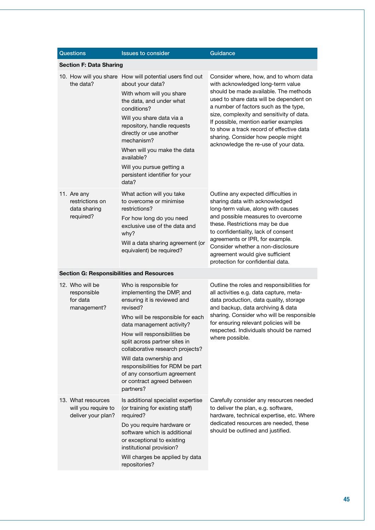| Questions                                                       |                                | <b>Issues to consider</b>                                                                                                                                                                                                                                                                                                                                                                                     | Guidance                                                                                                                                                                                                                                                                                                                                                                                                                |  |
|-----------------------------------------------------------------|--------------------------------|---------------------------------------------------------------------------------------------------------------------------------------------------------------------------------------------------------------------------------------------------------------------------------------------------------------------------------------------------------------------------------------------------------------|-------------------------------------------------------------------------------------------------------------------------------------------------------------------------------------------------------------------------------------------------------------------------------------------------------------------------------------------------------------------------------------------------------------------------|--|
|                                                                 | <b>Section F: Data Sharing</b> |                                                                                                                                                                                                                                                                                                                                                                                                               |                                                                                                                                                                                                                                                                                                                                                                                                                         |  |
| 10. How will you share<br>the data?                             |                                | How will potential users find out<br>about your data?<br>With whom will you share<br>the data, and under what<br>conditions?<br>Will you share data via a<br>repository, handle requests<br>directly or use another<br>mechanism?<br>When will you make the data<br>available?<br>Will you pursue getting a<br>persistent identifier for your<br>data?                                                        | Consider where, how, and to whom data<br>with acknowledged long-term value<br>should be made available. The methods<br>used to share data will be dependent on<br>a number of factors such as the type,<br>size, complexity and sensitivity of data.<br>If possible, mention earlier examples<br>to show a track record of effective data<br>sharing. Consider how people might<br>acknowledge the re-use of your data. |  |
| 11. Are any<br>restrictions on<br>data sharing<br>required?     |                                | What action will you take<br>to overcome or minimise<br>restrictions?<br>For how long do you need<br>exclusive use of the data and<br>why?<br>Will a data sharing agreement (or<br>equivalent) be required?                                                                                                                                                                                                   | Outline any expected difficulties in<br>sharing data with acknowledged<br>long-term value, along with causes<br>and possible measures to overcome<br>these. Restrictions may be due<br>to confidentiality, lack of consent<br>agreements or IPR, for example.<br>Consider whether a non-disclosure<br>agreement would give sufficient<br>protection for confidential data.                                              |  |
|                                                                 |                                | <b>Section G: Responsibilities and Resources</b>                                                                                                                                                                                                                                                                                                                                                              |                                                                                                                                                                                                                                                                                                                                                                                                                         |  |
| 12. Who will be<br>responsible<br>for data<br>management?       |                                | Who is responsible for<br>implementing the DMP, and<br>ensuring it is reviewed and<br>revised?<br>Who will be responsible for each<br>data management activity?<br>How will responsibilities be<br>split across partner sites in<br>collaborative research projects?<br>Will data ownership and<br>responsibilities for RDM be part<br>of any consortium agreement<br>or contract agreed between<br>partners? | Outline the roles and responsibilities for<br>all activities e.g. data capture, meta-<br>data production, data quality, storage<br>and backup, data archiving & data<br>sharing. Consider who will be responsible<br>for ensuring relevant policies will be<br>respected. Individuals should be named<br>where possible.                                                                                                |  |
| 13. What resources<br>will you require to<br>deliver your plan? |                                | Is additional specialist expertise<br>(or training for existing staff)<br>required?<br>Do you require hardware or<br>software which is additional<br>or exceptional to existing<br>institutional provision?<br>Will charges be applied by data<br>repositories?                                                                                                                                               | Carefully consider any resources needed<br>to deliver the plan, e.g. software,<br>hardware, technical expertise, etc. Where<br>dedicated resources are needed, these<br>should be outlined and justified.                                                                                                                                                                                                               |  |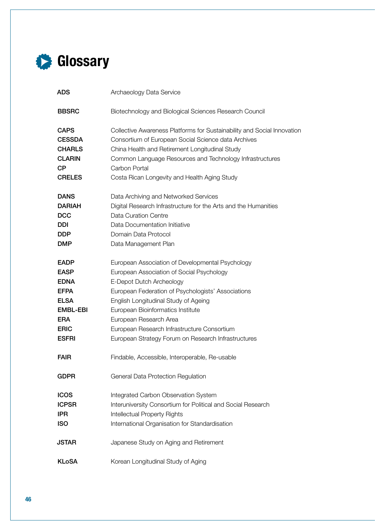<span id="page-45-0"></span>

| <b>ADS</b>      | Archaeology Data Service                                                |
|-----------------|-------------------------------------------------------------------------|
| <b>BBSRC</b>    | Biotechnology and Biological Sciences Research Council                  |
| <b>CAPS</b>     | Collective Awareness Platforms for Sustainability and Social Innovation |
| <b>CESSDA</b>   | Consortium of European Social Science data Archives                     |
| <b>CHARLS</b>   | China Health and Retirement Longitudinal Study                          |
| <b>CLARIN</b>   | Common Language Resources and Technology Infrastructures                |
| <b>CP</b>       | Carbon Portal                                                           |
| <b>CRELES</b>   | Costa Rican Longevity and Health Aging Study                            |
| <b>DANS</b>     | Data Archiving and Networked Services                                   |
| <b>DARIAH</b>   | Digital Research Infrastructure for the Arts and the Humanities         |
| <b>DCC</b>      | Data Curation Centre                                                    |
| <b>DDI</b>      | Data Documentation Initiative                                           |
| <b>DDP</b>      | Domain Data Protocol                                                    |
| <b>DMP</b>      | Data Management Plan                                                    |
| <b>EADP</b>     | European Association of Developmental Psychology                        |
| <b>EASP</b>     | European Association of Social Psychology                               |
| <b>EDNA</b>     | E-Depot Dutch Archeology                                                |
| <b>EFPA</b>     | European Federation of Psychologists' Associations                      |
| <b>ELSA</b>     | English Longitudinal Study of Ageing                                    |
| <b>EMBL-EBI</b> | European Bioinformatics Institute                                       |
| <b>ERA</b>      | European Research Area                                                  |
| <b>ERIC</b>     | European Research Infrastructure Consortium                             |
| <b>ESFRI</b>    | European Strategy Forum on Research Infrastructures                     |
| FAIR            | Findable, Accessible, Interoperable, Re-usable                          |
| <b>GDPR</b>     | General Data Protection Regulation                                      |
| <b>ICOS</b>     | Integrated Carbon Observation System                                    |
| <b>ICPSR</b>    | Interuniversity Consortium for Political and Social Research            |
| IPR             | Intellectual Property Rights                                            |
| <b>ISO</b>      | International Organisation for Standardisation                          |
| <b>JSTAR</b>    | Japanese Study on Aging and Retirement                                  |
| <b>KLoSA</b>    | Korean Longitudinal Study of Aging                                      |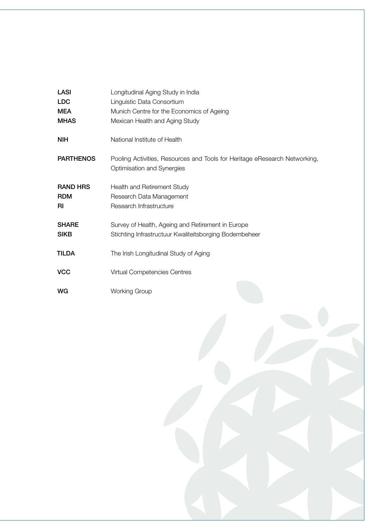| LASI<br><b>LDC</b><br><b>MEA</b><br><b>MHAS</b> | Longitudinal Aging Study in India<br>Linguistic Data Consortium<br>Munich Centre for the Economics of Ageing<br>Mexican Health and Aging Study |
|-------------------------------------------------|------------------------------------------------------------------------------------------------------------------------------------------------|
| <b>NIH</b>                                      | National Institute of Health                                                                                                                   |
| <b>PARTHENOS</b>                                | Pooling Activities, Resources and Tools for Heritage eResearch Networking,<br>Optimisation and Synergies                                       |
| <b>RAND HRS</b>                                 | Health and Retirement Study                                                                                                                    |
| <b>RDM</b><br><b>RI</b>                         | Research Data Management<br>Research Infrastructure                                                                                            |
|                                                 |                                                                                                                                                |
| <b>SHARE</b>                                    | Survey of Health, Ageing and Retirement in Europe                                                                                              |
| <b>SIKB</b>                                     | Stichting Infrastructuur Kwaliteitsborging Bodembeheer                                                                                         |
| <b>TILDA</b>                                    | The Irish Longitudinal Study of Aging                                                                                                          |
| <b>VCC</b>                                      | Virtual Competencies Centres                                                                                                                   |
| WG                                              | <b>Working Group</b>                                                                                                                           |